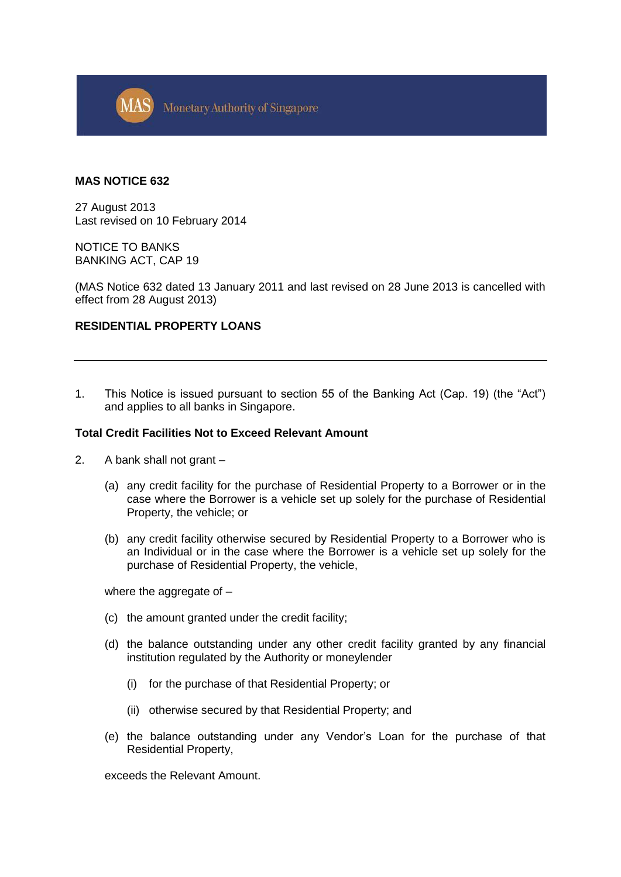

#### **MAS NOTICE 632**

27 August 2013 Last revised on 10 February 2014

NOTICE TO BANKS BANKING ACT, CAP 19

(MAS Notice 632 dated 13 January 2011 and last revised on 28 June 2013 is cancelled with effect from 28 August 2013)

## **RESIDENTIAL PROPERTY LOANS**

1. This Notice is issued pursuant to section 55 of the Banking Act (Cap. 19) (the "Act") and applies to all banks in Singapore.

#### **Total Credit Facilities Not to Exceed Relevant Amount**

- 2. A bank shall not grant
	- (a) any credit facility for the purchase of Residential Property to a Borrower or in the case where the Borrower is a vehicle set up solely for the purchase of Residential Property, the vehicle; or
	- (b) any credit facility otherwise secured by Residential Property to a Borrower who is an Individual or in the case where the Borrower is a vehicle set up solely for the purchase of Residential Property, the vehicle,

where the aggregate of -

- (c) the amount granted under the credit facility;
- (d) the balance outstanding under any other credit facility granted by any financial institution regulated by the Authority or moneylender
	- (i) for the purchase of that Residential Property; or
	- (ii) otherwise secured by that Residential Property; and
- (e) the balance outstanding under any Vendor's Loan for the purchase of that Residential Property,

exceeds the Relevant Amount.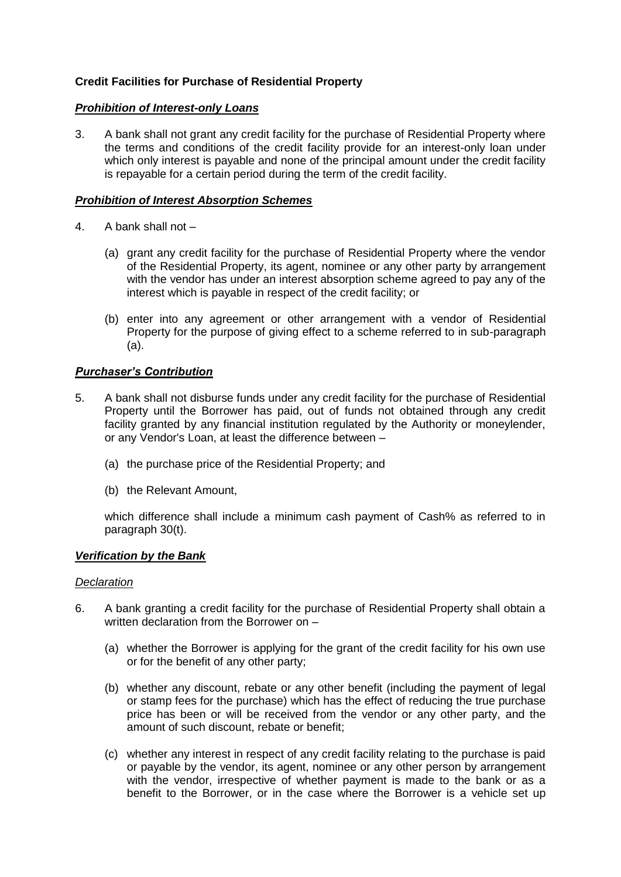# **Credit Facilities for Purchase of Residential Property**

## *Prohibition of Interest-only Loans*

3. A bank shall not grant any credit facility for the purchase of Residential Property where the terms and conditions of the credit facility provide for an interest-only loan under which only interest is payable and none of the principal amount under the credit facility is repayable for a certain period during the term of the credit facility.

## *Prohibition of Interest Absorption Schemes*

- 4. A bank shall not
	- (a) grant any credit facility for the purchase of Residential Property where the vendor of the Residential Property, its agent, nominee or any other party by arrangement with the vendor has under an interest absorption scheme agreed to pay any of the interest which is payable in respect of the credit facility; or
	- (b) enter into any agreement or other arrangement with a vendor of Residential Property for the purpose of giving effect to a scheme referred to in sub-paragraph (a).

## *Purchaser's Contribution*

- 5. A bank shall not disburse funds under any credit facility for the purchase of Residential Property until the Borrower has paid, out of funds not obtained through any credit facility granted by any financial institution regulated by the Authority or moneylender, or any Vendor's Loan, at least the difference between –
	- (a) the purchase price of the Residential Property; and
	- (b) the Relevant Amount,

which difference shall include a minimum cash payment of Cash% as referred to in paragraph 30(t).

### *Verification by the Bank*

### *Declaration*

- 6. A bank granting a credit facility for the purchase of Residential Property shall obtain a written declaration from the Borrower on –
	- (a) whether the Borrower is applying for the grant of the credit facility for his own use or for the benefit of any other party;
	- (b) whether any discount, rebate or any other benefit (including the payment of legal or stamp fees for the purchase) which has the effect of reducing the true purchase price has been or will be received from the vendor or any other party, and the amount of such discount, rebate or benefit;
	- (c) whether any interest in respect of any credit facility relating to the purchase is paid or payable by the vendor, its agent, nominee or any other person by arrangement with the vendor, irrespective of whether payment is made to the bank or as a benefit to the Borrower, or in the case where the Borrower is a vehicle set up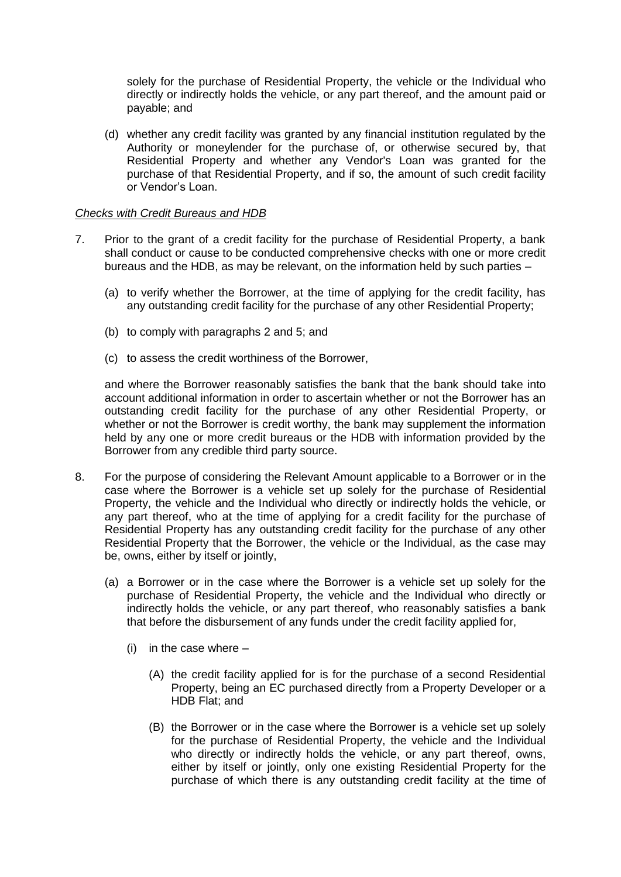solely for the purchase of Residential Property, the vehicle or the Individual who directly or indirectly holds the vehicle, or any part thereof, and the amount paid or payable; and

(d) whether any credit facility was granted by any financial institution regulated by the Authority or moneylender for the purchase of, or otherwise secured by, that Residential Property and whether any Vendor's Loan was granted for the purchase of that Residential Property, and if so, the amount of such credit facility or Vendor's Loan.

## *Checks with Credit Bureaus and HDB*

- 7. Prior to the grant of a credit facility for the purchase of Residential Property, a bank shall conduct or cause to be conducted comprehensive checks with one or more credit bureaus and the HDB, as may be relevant, on the information held by such parties –
	- (a) to verify whether the Borrower, at the time of applying for the credit facility, has any outstanding credit facility for the purchase of any other Residential Property;
	- (b) to comply with paragraphs 2 and 5; and
	- (c) to assess the credit worthiness of the Borrower,

and where the Borrower reasonably satisfies the bank that the bank should take into account additional information in order to ascertain whether or not the Borrower has an outstanding credit facility for the purchase of any other Residential Property, or whether or not the Borrower is credit worthy, the bank may supplement the information held by any one or more credit bureaus or the HDB with information provided by the Borrower from any credible third party source.

- 8. For the purpose of considering the Relevant Amount applicable to a Borrower or in the case where the Borrower is a vehicle set up solely for the purchase of Residential Property, the vehicle and the Individual who directly or indirectly holds the vehicle, or any part thereof, who at the time of applying for a credit facility for the purchase of Residential Property has any outstanding credit facility for the purchase of any other Residential Property that the Borrower, the vehicle or the Individual, as the case may be, owns, either by itself or jointly,
	- (a) a Borrower or in the case where the Borrower is a vehicle set up solely for the purchase of Residential Property, the vehicle and the Individual who directly or indirectly holds the vehicle, or any part thereof, who reasonably satisfies a bank that before the disbursement of any funds under the credit facility applied for,
		- $(i)$  in the case where  $-$ 
			- (A) the credit facility applied for is for the purchase of a second Residential Property, being an EC purchased directly from a Property Developer or a HDB Flat; and
			- (B) the Borrower or in the case where the Borrower is a vehicle set up solely for the purchase of Residential Property, the vehicle and the Individual who directly or indirectly holds the vehicle, or any part thereof, owns, either by itself or jointly, only one existing Residential Property for the purchase of which there is any outstanding credit facility at the time of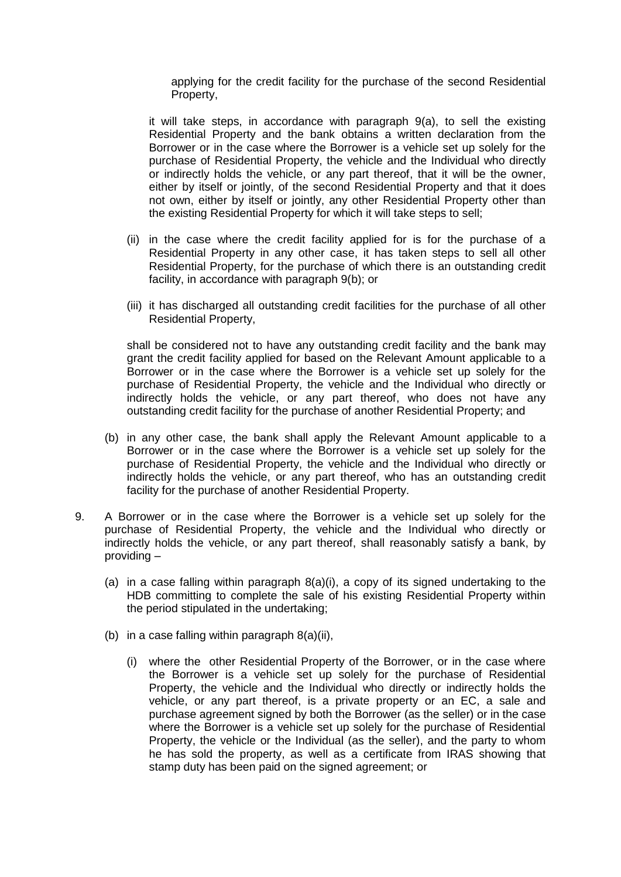applying for the credit facility for the purchase of the second Residential Property,

it will take steps, in accordance with paragraph 9(a), to sell the existing Residential Property and the bank obtains a written declaration from the Borrower or in the case where the Borrower is a vehicle set up solely for the purchase of Residential Property, the vehicle and the Individual who directly or indirectly holds the vehicle, or any part thereof, that it will be the owner, either by itself or jointly, of the second Residential Property and that it does not own, either by itself or jointly, any other Residential Property other than the existing Residential Property for which it will take steps to sell;

- (ii) in the case where the credit facility applied for is for the purchase of a Residential Property in any other case, it has taken steps to sell all other Residential Property, for the purchase of which there is an outstanding credit facility, in accordance with paragraph 9(b); or
- (iii) it has discharged all outstanding credit facilities for the purchase of all other Residential Property,

shall be considered not to have any outstanding credit facility and the bank may grant the credit facility applied for based on the Relevant Amount applicable to a Borrower or in the case where the Borrower is a vehicle set up solely for the purchase of Residential Property, the vehicle and the Individual who directly or indirectly holds the vehicle, or any part thereof, who does not have any outstanding credit facility for the purchase of another Residential Property; and

- (b) in any other case, the bank shall apply the Relevant Amount applicable to a Borrower or in the case where the Borrower is a vehicle set up solely for the purchase of Residential Property, the vehicle and the Individual who directly or indirectly holds the vehicle, or any part thereof, who has an outstanding credit facility for the purchase of another Residential Property.
- 9. A Borrower or in the case where the Borrower is a vehicle set up solely for the purchase of Residential Property, the vehicle and the Individual who directly or indirectly holds the vehicle, or any part thereof, shall reasonably satisfy a bank, by providing –
	- (a) in a case falling within paragraph 8(a)(i), a copy of its signed undertaking to the HDB committing to complete the sale of his existing Residential Property within the period stipulated in the undertaking;
	- (b) in a case falling within paragraph  $8(a)(ii)$ .
		- (i) where the other Residential Property of the Borrower, or in the case where the Borrower is a vehicle set up solely for the purchase of Residential Property, the vehicle and the Individual who directly or indirectly holds the vehicle, or any part thereof, is a private property or an EC, a sale and purchase agreement signed by both the Borrower (as the seller) or in the case where the Borrower is a vehicle set up solely for the purchase of Residential Property, the vehicle or the Individual (as the seller), and the party to whom he has sold the property, as well as a certificate from IRAS showing that stamp duty has been paid on the signed agreement; or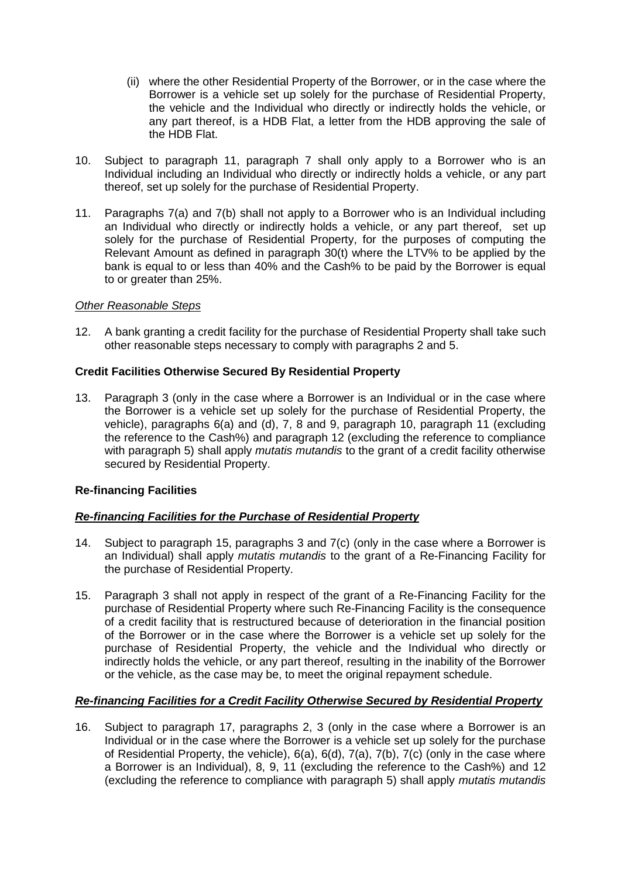- (ii) where the other Residential Property of the Borrower, or in the case where the Borrower is a vehicle set up solely for the purchase of Residential Property, the vehicle and the Individual who directly or indirectly holds the vehicle, or any part thereof, is a HDB Flat, a letter from the HDB approving the sale of the HDB Flat.
- 10. Subject to paragraph 11, paragraph 7 shall only apply to a Borrower who is an Individual including an Individual who directly or indirectly holds a vehicle, or any part thereof, set up solely for the purchase of Residential Property.
- 11. Paragraphs 7(a) and 7(b) shall not apply to a Borrower who is an Individual including an Individual who directly or indirectly holds a vehicle, or any part thereof, set up solely for the purchase of Residential Property, for the purposes of computing the Relevant Amount as defined in paragraph 30(t) where the LTV% to be applied by the bank is equal to or less than 40% and the Cash% to be paid by the Borrower is equal to or greater than 25%.

## *Other Reasonable Steps*

12. A bank granting a credit facility for the purchase of Residential Property shall take such other reasonable steps necessary to comply with paragraphs 2 and 5.

## **Credit Facilities Otherwise Secured By Residential Property**

13. Paragraph 3 (only in the case where a Borrower is an Individual or in the case where the Borrower is a vehicle set up solely for the purchase of Residential Property, the vehicle), paragraphs 6(a) and (d), 7, 8 and 9, paragraph 10, paragraph 11 (excluding the reference to the Cash%) and paragraph 12 (excluding the reference to compliance with paragraph 5) shall apply *mutatis mutandis* to the grant of a credit facility otherwise secured by Residential Property.

## **Re-financing Facilities**

## *Re-financing Facilities for the Purchase of Residential Property*

- 14. Subject to paragraph 15, paragraphs 3 and 7(c) (only in the case where a Borrower is an Individual) shall apply *mutatis mutandis* to the grant of a Re-Financing Facility for the purchase of Residential Property.
- 15. Paragraph 3 shall not apply in respect of the grant of a Re-Financing Facility for the purchase of Residential Property where such Re-Financing Facility is the consequence of a credit facility that is restructured because of deterioration in the financial position of the Borrower or in the case where the Borrower is a vehicle set up solely for the purchase of Residential Property, the vehicle and the Individual who directly or indirectly holds the vehicle, or any part thereof, resulting in the inability of the Borrower or the vehicle, as the case may be, to meet the original repayment schedule.

## *Re-financing Facilities for a Credit Facility Otherwise Secured by Residential Property*

16. Subject to paragraph 17, paragraphs 2, 3 (only in the case where a Borrower is an Individual or in the case where the Borrower is a vehicle set up solely for the purchase of Residential Property, the vehicle), 6(a), 6(d), 7(a), 7(b), 7(c) (only in the case where a Borrower is an Individual), 8, 9, 11 (excluding the reference to the Cash%) and 12 (excluding the reference to compliance with paragraph 5) shall apply *mutatis mutandis*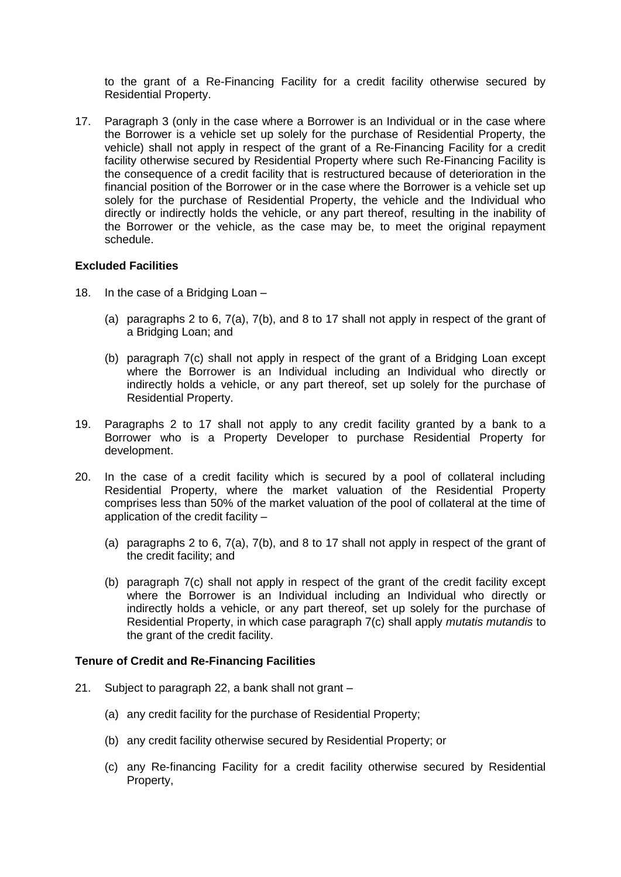to the grant of a Re-Financing Facility for a credit facility otherwise secured by Residential Property.

17. Paragraph 3 (only in the case where a Borrower is an Individual or in the case where the Borrower is a vehicle set up solely for the purchase of Residential Property, the vehicle) shall not apply in respect of the grant of a Re-Financing Facility for a credit facility otherwise secured by Residential Property where such Re-Financing Facility is the consequence of a credit facility that is restructured because of deterioration in the financial position of the Borrower or in the case where the Borrower is a vehicle set up solely for the purchase of Residential Property, the vehicle and the Individual who directly or indirectly holds the vehicle, or any part thereof, resulting in the inability of the Borrower or the vehicle, as the case may be, to meet the original repayment schedule.

## **Excluded Facilities**

- 18. In the case of a Bridging Loan
	- (a) paragraphs 2 to 6, 7(a), 7(b), and 8 to 17 shall not apply in respect of the grant of a Bridging Loan; and
	- (b) paragraph 7(c) shall not apply in respect of the grant of a Bridging Loan except where the Borrower is an Individual including an Individual who directly or indirectly holds a vehicle, or any part thereof, set up solely for the purchase of Residential Property.
- 19. Paragraphs 2 to 17 shall not apply to any credit facility granted by a bank to a Borrower who is a Property Developer to purchase Residential Property for development.
- 20. In the case of a credit facility which is secured by a pool of collateral including Residential Property, where the market valuation of the Residential Property comprises less than 50% of the market valuation of the pool of collateral at the time of application of the credit facility –
	- (a) paragraphs 2 to 6, 7(a), 7(b), and 8 to 17 shall not apply in respect of the grant of the credit facility; and
	- (b) paragraph 7(c) shall not apply in respect of the grant of the credit facility except where the Borrower is an Individual including an Individual who directly or indirectly holds a vehicle, or any part thereof, set up solely for the purchase of Residential Property, in which case paragraph 7(c) shall apply *mutatis mutandis* to the grant of the credit facility.

### **Tenure of Credit and Re-Financing Facilities**

- 21. Subject to paragraph 22, a bank shall not grant
	- (a) any credit facility for the purchase of Residential Property;
	- (b) any credit facility otherwise secured by Residential Property; or
	- (c) any Re-financing Facility for a credit facility otherwise secured by Residential Property,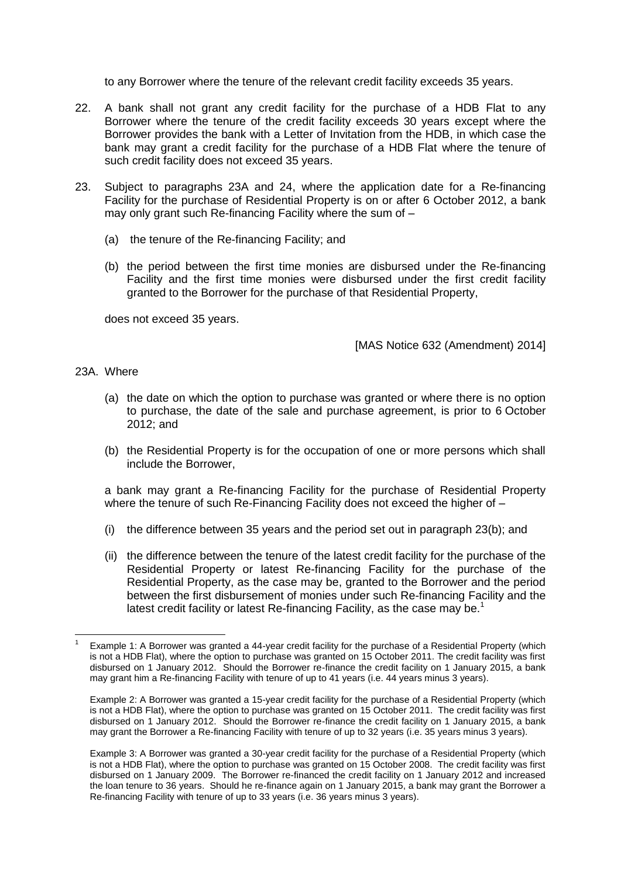to any Borrower where the tenure of the relevant credit facility exceeds 35 years.

- 22. A bank shall not grant any credit facility for the purchase of a HDB Flat to any Borrower where the tenure of the credit facility exceeds 30 years except where the Borrower provides the bank with a Letter of Invitation from the HDB, in which case the bank may grant a credit facility for the purchase of a HDB Flat where the tenure of such credit facility does not exceed 35 years.
- 23. Subject to paragraphs 23A and 24, where the application date for a Re-financing Facility for the purchase of Residential Property is on or after 6 October 2012, a bank may only grant such Re-financing Facility where the sum of –
	- (a) the tenure of the Re-financing Facility; and
	- (b) the period between the first time monies are disbursed under the Re-financing Facility and the first time monies were disbursed under the first credit facility granted to the Borrower for the purchase of that Residential Property,

does not exceed 35 years.

[MAS Notice 632 (Amendment) 2014]

#### 23A. Where

- (a) the date on which the option to purchase was granted or where there is no option to purchase, the date of the sale and purchase agreement, is prior to 6 October 2012; and
- (b) the Residential Property is for the occupation of one or more persons which shall include the Borrower,

a bank may grant a Re-financing Facility for the purchase of Residential Property where the tenure of such Re-Financing Facility does not exceed the higher of -

- (i) the difference between 35 years and the period set out in paragraph 23(b); and
- (ii) the difference between the tenure of the latest credit facility for the purchase of the Residential Property or latest Re-financing Facility for the purchase of the Residential Property, as the case may be, granted to the Borrower and the period between the first disbursement of monies under such Re-financing Facility and the latest credit facility or latest Re-financing Facility, as the case may be.<sup>1</sup>

**<sup>.</sup>** 1 Example 1: A Borrower was granted a 44-year credit facility for the purchase of a Residential Property (which is not a HDB Flat), where the option to purchase was granted on 15 October 2011. The credit facility was first disbursed on 1 January 2012. Should the Borrower re-finance the credit facility on 1 January 2015, a bank may grant him a Re-financing Facility with tenure of up to 41 years (i.e. 44 years minus 3 years).

Example 2: A Borrower was granted a 15-year credit facility for the purchase of a Residential Property (which is not a HDB Flat), where the option to purchase was granted on 15 October 2011. The credit facility was first disbursed on 1 January 2012. Should the Borrower re-finance the credit facility on 1 January 2015, a bank may grant the Borrower a Re-financing Facility with tenure of up to 32 years (i.e. 35 years minus 3 years).

Example 3: A Borrower was granted a 30-year credit facility for the purchase of a Residential Property (which is not a HDB Flat), where the option to purchase was granted on 15 October 2008. The credit facility was first disbursed on 1 January 2009. The Borrower re-financed the credit facility on 1 January 2012 and increased the loan tenure to 36 years. Should he re-finance again on 1 January 2015, a bank may grant the Borrower a Re-financing Facility with tenure of up to 33 years (i.e. 36 years minus 3 years).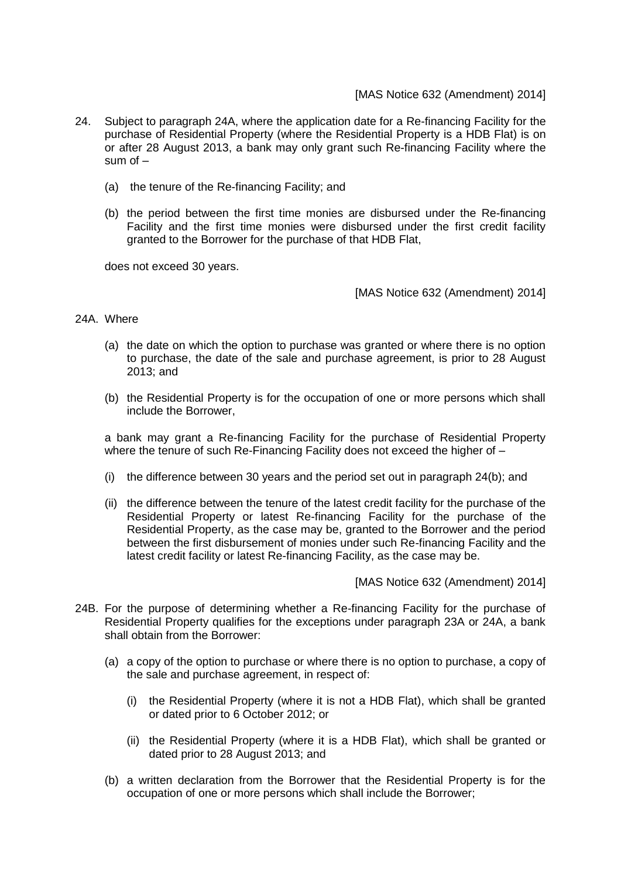- 24. Subject to paragraph 24A, where the application date for a Re-financing Facility for the purchase of Residential Property (where the Residential Property is a HDB Flat) is on or after 28 August 2013, a bank may only grant such Re-financing Facility where the sum of  $-$ 
	- (a) the tenure of the Re-financing Facility; and
	- (b) the period between the first time monies are disbursed under the Re-financing Facility and the first time monies were disbursed under the first credit facility granted to the Borrower for the purchase of that HDB Flat,

does not exceed 30 years.

[MAS Notice 632 (Amendment) 2014]

### 24A. Where

- (a) the date on which the option to purchase was granted or where there is no option to purchase, the date of the sale and purchase agreement, is prior to 28 August 2013; and
- (b) the Residential Property is for the occupation of one or more persons which shall include the Borrower,

a bank may grant a Re-financing Facility for the purchase of Residential Property where the tenure of such Re-Financing Facility does not exceed the higher of -

- (i) the difference between 30 years and the period set out in paragraph 24(b); and
- (ii) the difference between the tenure of the latest credit facility for the purchase of the Residential Property or latest Re-financing Facility for the purchase of the Residential Property, as the case may be, granted to the Borrower and the period between the first disbursement of monies under such Re-financing Facility and the latest credit facility or latest Re-financing Facility, as the case may be.

[MAS Notice 632 (Amendment) 2014]

- 24B. For the purpose of determining whether a Re-financing Facility for the purchase of Residential Property qualifies for the exceptions under paragraph 23A or 24A, a bank shall obtain from the Borrower:
	- (a) a copy of the option to purchase or where there is no option to purchase, a copy of the sale and purchase agreement, in respect of:
		- (i) the Residential Property (where it is not a HDB Flat), which shall be granted or dated prior to 6 October 2012; or
		- (ii) the Residential Property (where it is a HDB Flat), which shall be granted or dated prior to 28 August 2013; and
	- (b) a written declaration from the Borrower that the Residential Property is for the occupation of one or more persons which shall include the Borrower;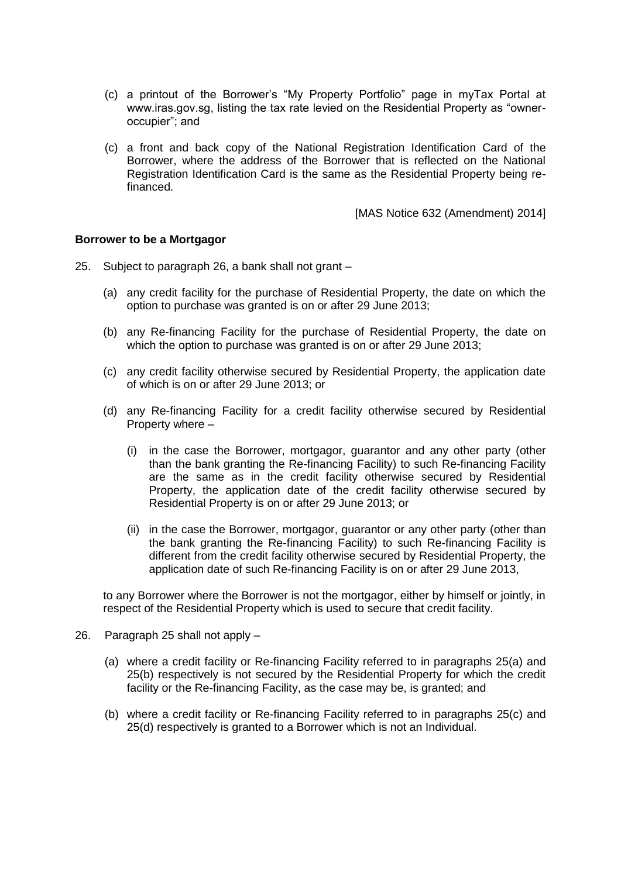- (c) a printout of the Borrower's "My Property Portfolio" page in myTax Portal at www.iras.gov.sg, listing the tax rate levied on the Residential Property as "owneroccupier"; and
- (c) a front and back copy of the National Registration Identification Card of the Borrower, where the address of the Borrower that is reflected on the National Registration Identification Card is the same as the Residential Property being refinanced.

[MAS Notice 632 (Amendment) 2014]

### **Borrower to be a Mortgagor**

- 25. Subject to paragraph 26, a bank shall not grant
	- (a) any credit facility for the purchase of Residential Property, the date on which the option to purchase was granted is on or after 29 June 2013;
	- (b) any Re-financing Facility for the purchase of Residential Property, the date on which the option to purchase was granted is on or after 29 June 2013;
	- (c) any credit facility otherwise secured by Residential Property, the application date of which is on or after 29 June 2013; or
	- (d) any Re-financing Facility for a credit facility otherwise secured by Residential Property where –
		- (i) in the case the Borrower, mortgagor, guarantor and any other party (other than the bank granting the Re-financing Facility) to such Re-financing Facility are the same as in the credit facility otherwise secured by Residential Property, the application date of the credit facility otherwise secured by Residential Property is on or after 29 June 2013; or
		- (ii) in the case the Borrower, mortgagor, guarantor or any other party (other than the bank granting the Re-financing Facility) to such Re-financing Facility is different from the credit facility otherwise secured by Residential Property, the application date of such Re-financing Facility is on or after 29 June 2013,

to any Borrower where the Borrower is not the mortgagor, either by himself or jointly, in respect of the Residential Property which is used to secure that credit facility.

- 26. Paragraph 25 shall not apply
	- (a) where a credit facility or Re-financing Facility referred to in paragraphs 25(a) and 25(b) respectively is not secured by the Residential Property for which the credit facility or the Re-financing Facility, as the case may be, is granted; and
	- (b) where a credit facility or Re-financing Facility referred to in paragraphs 25(c) and 25(d) respectively is granted to a Borrower which is not an Individual.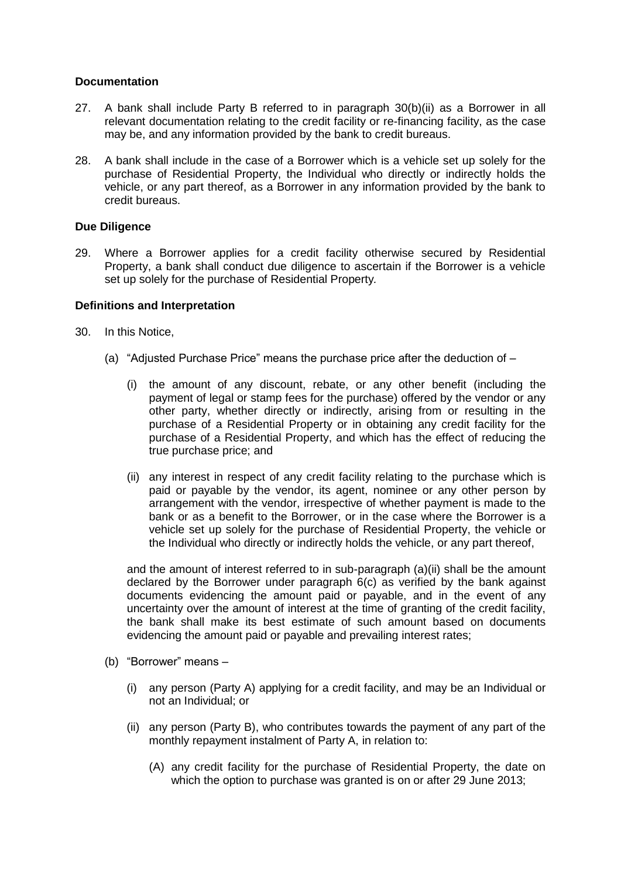## **Documentation**

- 27. A bank shall include Party B referred to in paragraph 30(b)(ii) as a Borrower in all relevant documentation relating to the credit facility or re-financing facility, as the case may be, and any information provided by the bank to credit bureaus.
- 28. A bank shall include in the case of a Borrower which is a vehicle set up solely for the purchase of Residential Property, the Individual who directly or indirectly holds the vehicle, or any part thereof, as a Borrower in any information provided by the bank to credit bureaus.

## **Due Diligence**

29. Where a Borrower applies for a credit facility otherwise secured by Residential Property, a bank shall conduct due diligence to ascertain if the Borrower is a vehicle set up solely for the purchase of Residential Property*.*

## **Definitions and Interpretation**

- 30. In this Notice,
	- (a) "Adjusted Purchase Price" means the purchase price after the deduction of
		- (i) the amount of any discount, rebate, or any other benefit (including the payment of legal or stamp fees for the purchase) offered by the vendor or any other party, whether directly or indirectly, arising from or resulting in the purchase of a Residential Property or in obtaining any credit facility for the purchase of a Residential Property, and which has the effect of reducing the true purchase price; and
		- (ii) any interest in respect of any credit facility relating to the purchase which is paid or payable by the vendor, its agent, nominee or any other person by arrangement with the vendor, irrespective of whether payment is made to the bank or as a benefit to the Borrower, or in the case where the Borrower is a vehicle set up solely for the purchase of Residential Property, the vehicle or the Individual who directly or indirectly holds the vehicle, or any part thereof,

and the amount of interest referred to in sub-paragraph (a)(ii) shall be the amount declared by the Borrower under paragraph 6(c) as verified by the bank against documents evidencing the amount paid or payable, and in the event of any uncertainty over the amount of interest at the time of granting of the credit facility, the bank shall make its best estimate of such amount based on documents evidencing the amount paid or payable and prevailing interest rates;

- (b) "Borrower" means
	- (i) any person (Party A) applying for a credit facility, and may be an Individual or not an Individual; or
	- (ii) any person (Party B), who contributes towards the payment of any part of the monthly repayment instalment of Party A, in relation to:
		- (A) any credit facility for the purchase of Residential Property, the date on which the option to purchase was granted is on or after 29 June 2013;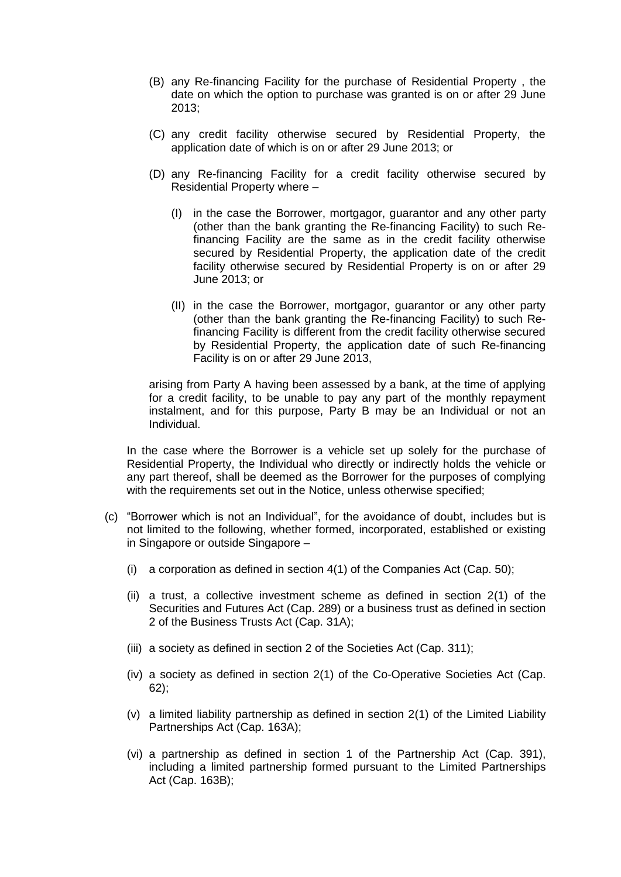- (B) any Re-financing Facility for the purchase of Residential Property , the date on which the option to purchase was granted is on or after 29 June 2013;
- (C) any credit facility otherwise secured by Residential Property, the application date of which is on or after 29 June 2013; or
- (D) any Re-financing Facility for a credit facility otherwise secured by Residential Property where –
	- (I) in the case the Borrower, mortgagor, guarantor and any other party (other than the bank granting the Re-financing Facility) to such Refinancing Facility are the same as in the credit facility otherwise secured by Residential Property, the application date of the credit facility otherwise secured by Residential Property is on or after 29 June 2013; or
	- (II) in the case the Borrower, mortgagor, guarantor or any other party (other than the bank granting the Re-financing Facility) to such Refinancing Facility is different from the credit facility otherwise secured by Residential Property, the application date of such Re-financing Facility is on or after 29 June 2013,

arising from Party A having been assessed by a bank, at the time of applying for a credit facility, to be unable to pay any part of the monthly repayment instalment, and for this purpose, Party B may be an Individual or not an Individual.

In the case where the Borrower is a vehicle set up solely for the purchase of Residential Property, the Individual who directly or indirectly holds the vehicle or any part thereof, shall be deemed as the Borrower for the purposes of complying with the requirements set out in the Notice, unless otherwise specified;

- (c) "Borrower which is not an Individual", for the avoidance of doubt, includes but is not limited to the following, whether formed, incorporated, established or existing in Singapore or outside Singapore –
	- (i) a corporation as defined in section  $4(1)$  of the Companies Act (Cap. 50);
	- (ii) a trust, a collective investment scheme as defined in section 2(1) of the Securities and Futures Act (Cap. 289) or a business trust as defined in section 2 of the Business Trusts Act (Cap. 31A);
	- (iii) a society as defined in section 2 of the Societies Act (Cap. 311);
	- (iv) a society as defined in section 2(1) of the Co-Operative Societies Act (Cap. 62);
	- (v) a limited liability partnership as defined in section 2(1) of the Limited Liability Partnerships Act (Cap. 163A);
	- (vi) a partnership as defined in section 1 of the Partnership Act (Cap. 391), including a limited partnership formed pursuant to the Limited Partnerships Act (Cap. 163B);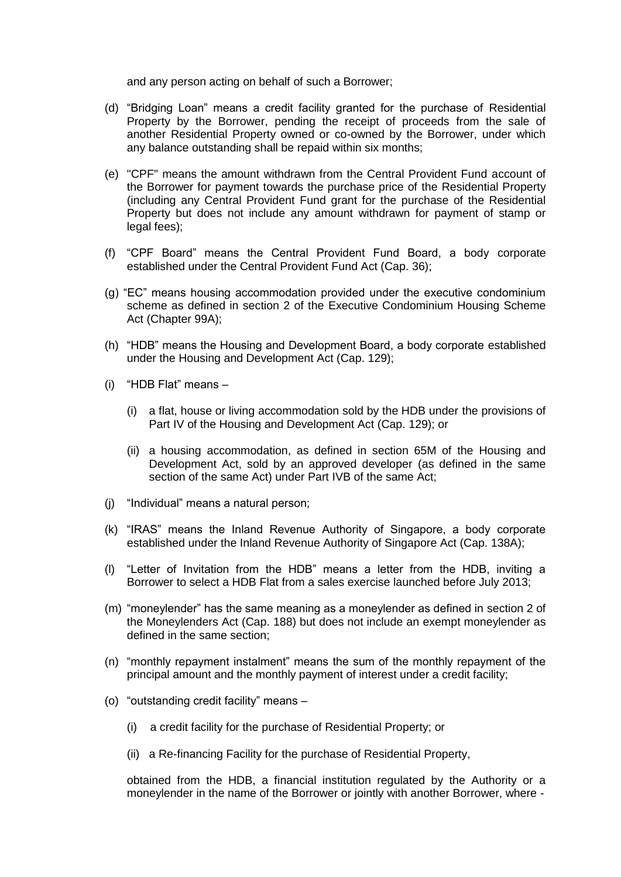and any person acting on behalf of such a Borrower;

- (d) "Bridging Loan" means a credit facility granted for the purchase of Residential Property by the Borrower, pending the receipt of proceeds from the sale of another Residential Property owned or co-owned by the Borrower, under which any balance outstanding shall be repaid within six months;
- (e) "CPF" means the amount withdrawn from the Central Provident Fund account of the Borrower for payment towards the purchase price of the Residential Property (including any Central Provident Fund grant for the purchase of the Residential Property but does not include any amount withdrawn for payment of stamp or legal fees);
- (f) "CPF Board" means the Central Provident Fund Board, a body corporate established under the Central Provident Fund Act (Cap. 36);
- (g) "EC" means housing accommodation provided under the executive condominium scheme as defined in section 2 of the Executive Condominium Housing Scheme Act (Chapter 99A);
- (h) "HDB" means the Housing and Development Board, a body corporate established under the Housing and Development Act (Cap. 129);
- (i) "HDB Flat" means
	- (i) a flat, house or living accommodation sold by the HDB under the provisions of Part IV of the Housing and Development Act (Cap. 129); or
	- (ii) a housing accommodation, as defined in section 65M of the Housing and Development Act, sold by an approved developer (as defined in the same section of the same Act) under Part IVB of the same Act;
- (j) "Individual" means a natural person;
- (k) "IRAS" means the Inland Revenue Authority of Singapore, a body corporate established under the Inland Revenue Authority of Singapore Act (Cap. 138A);
- (l) "Letter of Invitation from the HDB" means a letter from the HDB, inviting a Borrower to select a HDB Flat from a sales exercise launched before July 2013;
- (m) "moneylender" has the same meaning as a moneylender as defined in section 2 of the Moneylenders Act (Cap. 188) but does not include an exempt moneylender as defined in the same section;
- (n) "monthly repayment instalment" means the sum of the monthly repayment of the principal amount and the monthly payment of interest under a credit facility;
- (o) "outstanding credit facility" means
	- (i) a credit facility for the purchase of Residential Property; or
	- (ii) a Re-financing Facility for the purchase of Residential Property,

obtained from the HDB, a financial institution regulated by the Authority or a moneylender in the name of the Borrower or jointly with another Borrower, where -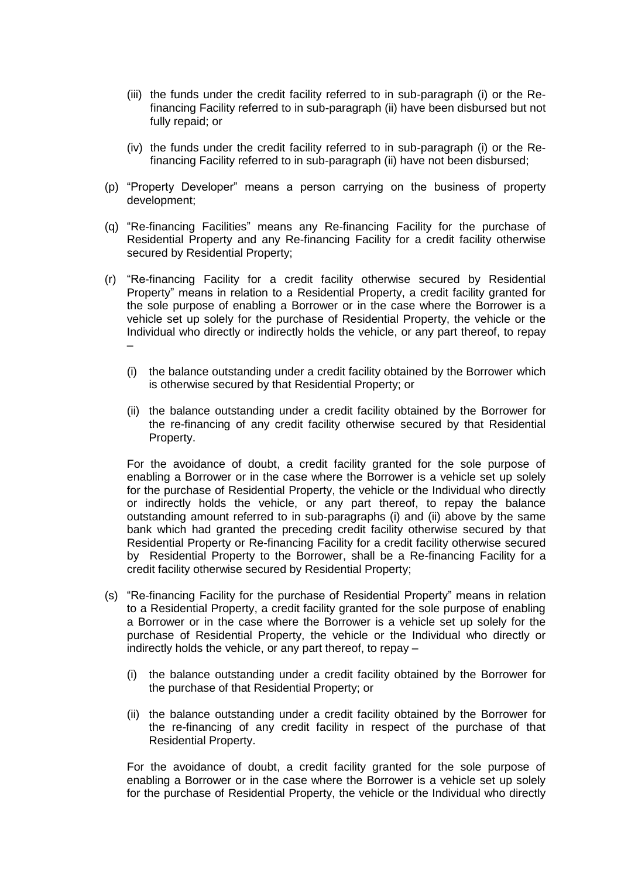- (iii) the funds under the credit facility referred to in sub-paragraph (i) or the Refinancing Facility referred to in sub-paragraph (ii) have been disbursed but not fully repaid; or
- (iv) the funds under the credit facility referred to in sub-paragraph (i) or the Refinancing Facility referred to in sub-paragraph (ii) have not been disbursed;
- (p) "Property Developer" means a person carrying on the business of property development;
- (q) "Re-financing Facilities" means any Re-financing Facility for the purchase of Residential Property and any Re-financing Facility for a credit facility otherwise secured by Residential Property;
- (r) "Re-financing Facility for a credit facility otherwise secured by Residential Property" means in relation to a Residential Property, a credit facility granted for the sole purpose of enabling a Borrower or in the case where the Borrower is a vehicle set up solely for the purchase of Residential Property, the vehicle or the Individual who directly or indirectly holds the vehicle, or any part thereof, to repay –
	- (i) the balance outstanding under a credit facility obtained by the Borrower which is otherwise secured by that Residential Property; or
	- (ii) the balance outstanding under a credit facility obtained by the Borrower for the re-financing of any credit facility otherwise secured by that Residential Property.

For the avoidance of doubt, a credit facility granted for the sole purpose of enabling a Borrower or in the case where the Borrower is a vehicle set up solely for the purchase of Residential Property, the vehicle or the Individual who directly or indirectly holds the vehicle, or any part thereof, to repay the balance outstanding amount referred to in sub-paragraphs (i) and (ii) above by the same bank which had granted the preceding credit facility otherwise secured by that Residential Property or Re-financing Facility for a credit facility otherwise secured by Residential Property to the Borrower, shall be a Re-financing Facility for a credit facility otherwise secured by Residential Property;

- (s) "Re-financing Facility for the purchase of Residential Property" means in relation to a Residential Property, a credit facility granted for the sole purpose of enabling a Borrower or in the case where the Borrower is a vehicle set up solely for the purchase of Residential Property, the vehicle or the Individual who directly or indirectly holds the vehicle, or any part thereof, to repay –
	- (i) the balance outstanding under a credit facility obtained by the Borrower for the purchase of that Residential Property; or
	- (ii) the balance outstanding under a credit facility obtained by the Borrower for the re-financing of any credit facility in respect of the purchase of that Residential Property.

For the avoidance of doubt, a credit facility granted for the sole purpose of enabling a Borrower or in the case where the Borrower is a vehicle set up solely for the purchase of Residential Property, the vehicle or the Individual who directly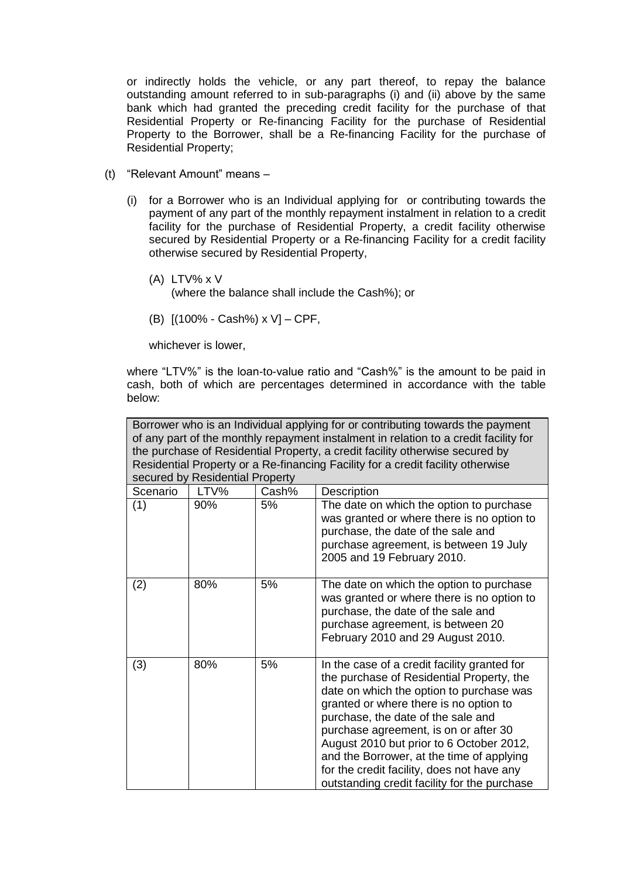or indirectly holds the vehicle, or any part thereof, to repay the balance outstanding amount referred to in sub-paragraphs (i) and (ii) above by the same bank which had granted the preceding credit facility for the purchase of that Residential Property or Re-financing Facility for the purchase of Residential Property to the Borrower, shall be a Re-financing Facility for the purchase of Residential Property;

- (t) "Relevant Amount" means
	- (i) for a Borrower who is an Individual applying for or contributing towards the payment of any part of the monthly repayment instalment in relation to a credit facility for the purchase of Residential Property, a credit facility otherwise secured by Residential Property or a Re-financing Facility for a credit facility otherwise secured by Residential Property,
		- (A) LTV% x V
			- (where the balance shall include the Cash%); or
		- (B) [(100% Cash%) x V] CPF,

whichever is lower,

where "LTV%" is the loan-to-value ratio and "Cash%" is the amount to be paid in cash, both of which are percentages determined in accordance with the table below:

Borrower who is an Individual applying for or contributing towards the payment of any part of the monthly repayment instalment in relation to a credit facility for the purchase of Residential Property, a credit facility otherwise secured by Residential Property or a Re-financing Facility for a credit facility otherwise secured by Residential Property

| Scenario | LTV% | Cash% | Description                                                                                                                                                                                                                                                                                                                                                                                                                                           |
|----------|------|-------|-------------------------------------------------------------------------------------------------------------------------------------------------------------------------------------------------------------------------------------------------------------------------------------------------------------------------------------------------------------------------------------------------------------------------------------------------------|
| (1)      | 90%  | 5%    | The date on which the option to purchase<br>was granted or where there is no option to<br>purchase, the date of the sale and<br>purchase agreement, is between 19 July<br>2005 and 19 February 2010.                                                                                                                                                                                                                                                  |
| (2)      | 80%  | 5%    | The date on which the option to purchase<br>was granted or where there is no option to<br>purchase, the date of the sale and<br>purchase agreement, is between 20<br>February 2010 and 29 August 2010.                                                                                                                                                                                                                                                |
| (3)      | 80%  | 5%    | In the case of a credit facility granted for<br>the purchase of Residential Property, the<br>date on which the option to purchase was<br>granted or where there is no option to<br>purchase, the date of the sale and<br>purchase agreement, is on or after 30<br>August 2010 but prior to 6 October 2012,<br>and the Borrower, at the time of applying<br>for the credit facility, does not have any<br>outstanding credit facility for the purchase |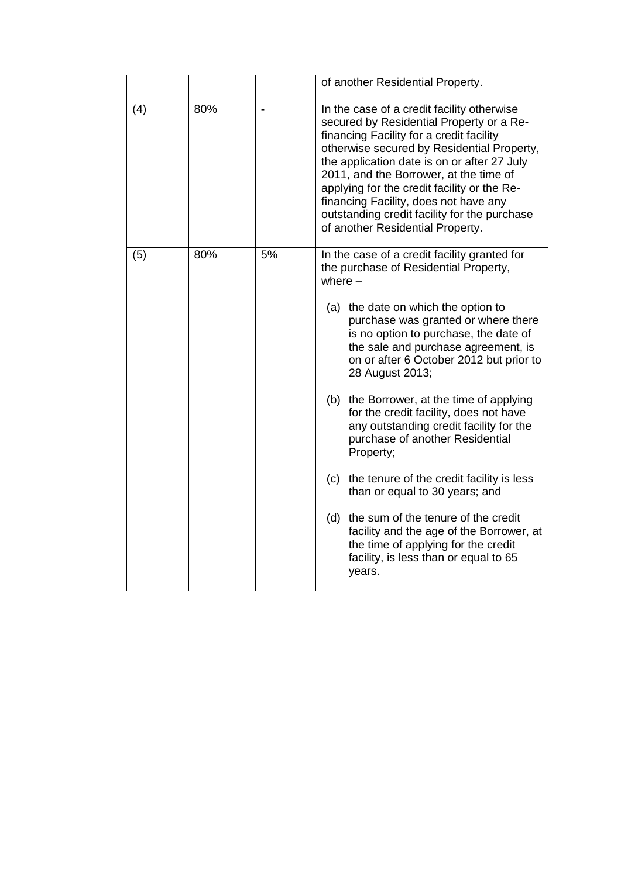|     |     |    | of another Residential Property.                                                                                                                                                                                                                                                                                                                                                                                                                      |
|-----|-----|----|-------------------------------------------------------------------------------------------------------------------------------------------------------------------------------------------------------------------------------------------------------------------------------------------------------------------------------------------------------------------------------------------------------------------------------------------------------|
| (4) | 80% |    | In the case of a credit facility otherwise<br>secured by Residential Property or a Re-<br>financing Facility for a credit facility<br>otherwise secured by Residential Property,<br>the application date is on or after 27 July<br>2011, and the Borrower, at the time of<br>applying for the credit facility or the Re-<br>financing Facility, does not have any<br>outstanding credit facility for the purchase<br>of another Residential Property. |
| (5) | 80% | 5% | In the case of a credit facility granted for<br>the purchase of Residential Property,<br>where $-$                                                                                                                                                                                                                                                                                                                                                    |
|     |     |    | (a) the date on which the option to<br>purchase was granted or where there<br>is no option to purchase, the date of<br>the sale and purchase agreement, is<br>on or after 6 October 2012 but prior to<br>28 August 2013;                                                                                                                                                                                                                              |
|     |     |    | (b) the Borrower, at the time of applying<br>for the credit facility, does not have<br>any outstanding credit facility for the<br>purchase of another Residential<br>Property;                                                                                                                                                                                                                                                                        |
|     |     |    | (c) the tenure of the credit facility is less<br>than or equal to 30 years; and                                                                                                                                                                                                                                                                                                                                                                       |
|     |     |    | (d) the sum of the tenure of the credit<br>facility and the age of the Borrower, at<br>the time of applying for the credit<br>facility, is less than or equal to 65<br>years.                                                                                                                                                                                                                                                                         |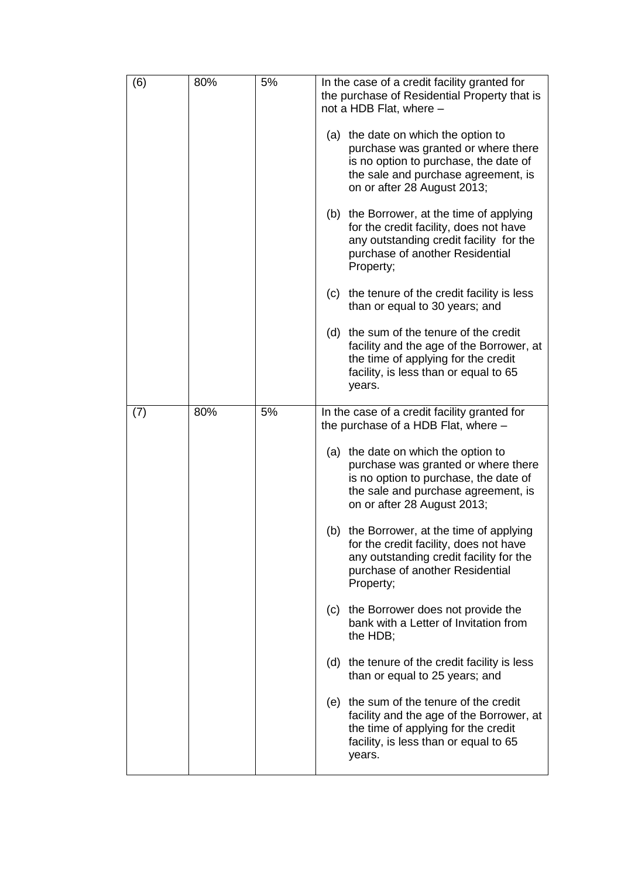| (6) | 80% | 5% | In the case of a credit facility granted for<br>the purchase of Residential Property that is<br>not a HDB Flat, where -<br>(a) the date on which the option to<br>purchase was granted or where there<br>is no option to purchase, the date of<br>the sale and purchase agreement, is<br>on or after 28 August 2013;<br>(b) the Borrower, at the time of applying<br>for the credit facility, does not have<br>any outstanding credit facility for the<br>purchase of another Residential<br>Property;<br>the tenure of the credit facility is less<br>(c) |
|-----|-----|----|------------------------------------------------------------------------------------------------------------------------------------------------------------------------------------------------------------------------------------------------------------------------------------------------------------------------------------------------------------------------------------------------------------------------------------------------------------------------------------------------------------------------------------------------------------|
|     |     |    | than or equal to 30 years; and<br>(d) the sum of the tenure of the credit<br>facility and the age of the Borrower, at<br>the time of applying for the credit<br>facility, is less than or equal to 65<br>years.                                                                                                                                                                                                                                                                                                                                            |
| (7) | 80% | 5% | In the case of a credit facility granted for<br>the purchase of a HDB Flat, where -<br>(a) the date on which the option to<br>purchase was granted or where there<br>is no option to purchase, the date of<br>the sale and purchase agreement, is<br>on or after 28 August 2013;                                                                                                                                                                                                                                                                           |
|     |     |    | (b) the Borrower, at the time of applying<br>for the credit facility, does not have<br>any outstanding credit facility for the<br>purchase of another Residential<br>Property;                                                                                                                                                                                                                                                                                                                                                                             |
|     |     |    | the Borrower does not provide the<br>(c)<br>bank with a Letter of Invitation from<br>the HDB;                                                                                                                                                                                                                                                                                                                                                                                                                                                              |
|     |     |    | (d) the tenure of the credit facility is less<br>than or equal to 25 years; and                                                                                                                                                                                                                                                                                                                                                                                                                                                                            |
|     |     |    | (e) the sum of the tenure of the credit<br>facility and the age of the Borrower, at<br>the time of applying for the credit<br>facility, is less than or equal to 65<br>years.                                                                                                                                                                                                                                                                                                                                                                              |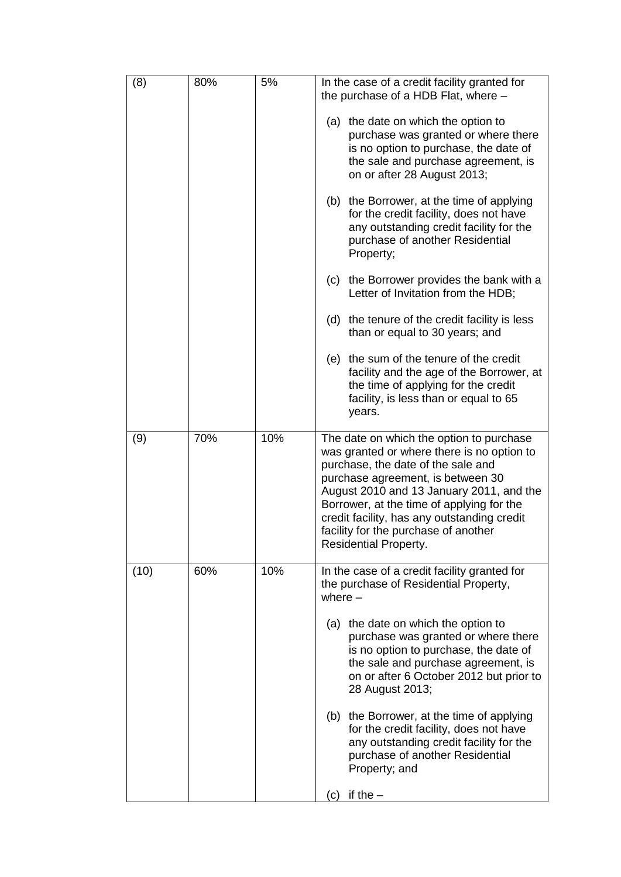| (8)  | 80% | 5%  | In the case of a credit facility granted for<br>the purchase of a HDB Flat, where -                                                                                                                                                                                                                                                                                               |
|------|-----|-----|-----------------------------------------------------------------------------------------------------------------------------------------------------------------------------------------------------------------------------------------------------------------------------------------------------------------------------------------------------------------------------------|
|      |     |     | (a) the date on which the option to<br>purchase was granted or where there<br>is no option to purchase, the date of<br>the sale and purchase agreement, is<br>on or after 28 August 2013;                                                                                                                                                                                         |
|      |     |     | (b) the Borrower, at the time of applying<br>for the credit facility, does not have<br>any outstanding credit facility for the<br>purchase of another Residential<br>Property;                                                                                                                                                                                                    |
|      |     |     | (c) the Borrower provides the bank with a<br>Letter of Invitation from the HDB;                                                                                                                                                                                                                                                                                                   |
|      |     |     | (d) the tenure of the credit facility is less<br>than or equal to 30 years; and                                                                                                                                                                                                                                                                                                   |
|      |     |     | (e) the sum of the tenure of the credit<br>facility and the age of the Borrower, at<br>the time of applying for the credit<br>facility, is less than or equal to 65<br>years.                                                                                                                                                                                                     |
| (9)  | 70% | 10% | The date on which the option to purchase<br>was granted or where there is no option to<br>purchase, the date of the sale and<br>purchase agreement, is between 30<br>August 2010 and 13 January 2011, and the<br>Borrower, at the time of applying for the<br>credit facility, has any outstanding credit<br>facility for the purchase of another<br><b>Residential Property.</b> |
| (10) | 60% | 10% | In the case of a credit facility granted for<br>the purchase of Residential Property,<br>where $-$                                                                                                                                                                                                                                                                                |
|      |     |     | (a) the date on which the option to<br>purchase was granted or where there<br>is no option to purchase, the date of<br>the sale and purchase agreement, is<br>on or after 6 October 2012 but prior to<br>28 August 2013;                                                                                                                                                          |
|      |     |     | (b) the Borrower, at the time of applying<br>for the credit facility, does not have<br>any outstanding credit facility for the<br>purchase of another Residential<br>Property; and                                                                                                                                                                                                |
|      |     |     | if the $-$<br>(c)                                                                                                                                                                                                                                                                                                                                                                 |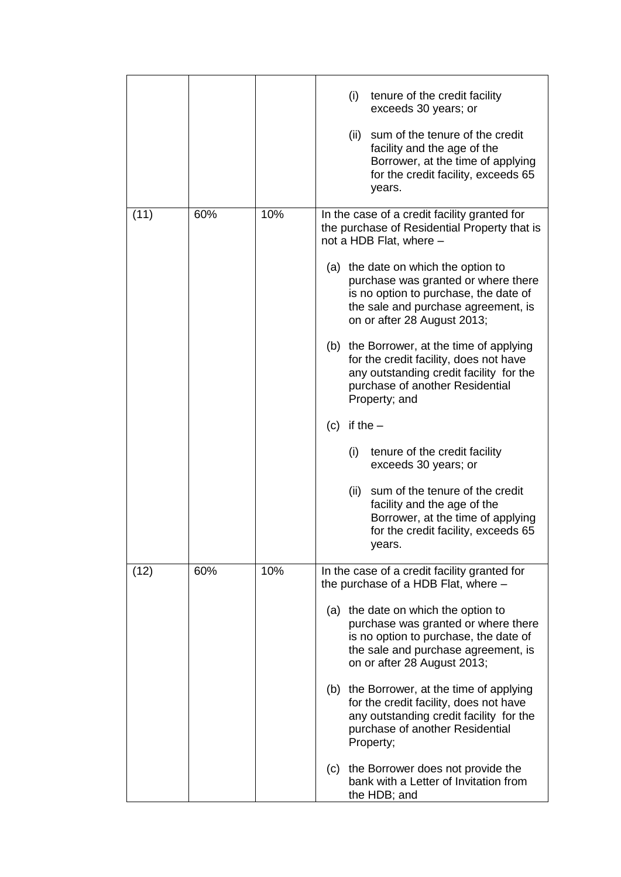|      |     |     | (i)<br>tenure of the credit facility<br>exceeds 30 years; or                                                                                                                              |
|------|-----|-----|-------------------------------------------------------------------------------------------------------------------------------------------------------------------------------------------|
|      |     |     | (ii) sum of the tenure of the credit<br>facility and the age of the<br>Borrower, at the time of applying<br>for the credit facility, exceeds 65<br>years.                                 |
| (11) | 60% | 10% | In the case of a credit facility granted for<br>the purchase of Residential Property that is<br>not a HDB Flat, where -                                                                   |
|      |     |     | (a) the date on which the option to<br>purchase was granted or where there<br>is no option to purchase, the date of<br>the sale and purchase agreement, is<br>on or after 28 August 2013; |
|      |     |     | (b) the Borrower, at the time of applying<br>for the credit facility, does not have<br>any outstanding credit facility for the<br>purchase of another Residential<br>Property; and        |
|      |     |     | if the $-$<br>(c)                                                                                                                                                                         |
|      |     |     | tenure of the credit facility<br>(i)<br>exceeds 30 years; or                                                                                                                              |
|      |     |     | (ii)<br>sum of the tenure of the credit<br>facility and the age of the<br>Borrower, at the time of applying<br>for the credit facility, exceeds 65<br>years.                              |
| (12) | 60% | 10% | In the case of a credit facility granted for<br>the purchase of a HDB Flat, where -                                                                                                       |
|      |     |     | (a) the date on which the option to<br>purchase was granted or where there<br>is no option to purchase, the date of<br>the sale and purchase agreement, is<br>on or after 28 August 2013; |
|      |     |     | (b) the Borrower, at the time of applying<br>for the credit facility, does not have<br>any outstanding credit facility for the<br>purchase of another Residential<br>Property;            |
|      |     |     | (c) the Borrower does not provide the<br>bank with a Letter of Invitation from<br>the HDB; and                                                                                            |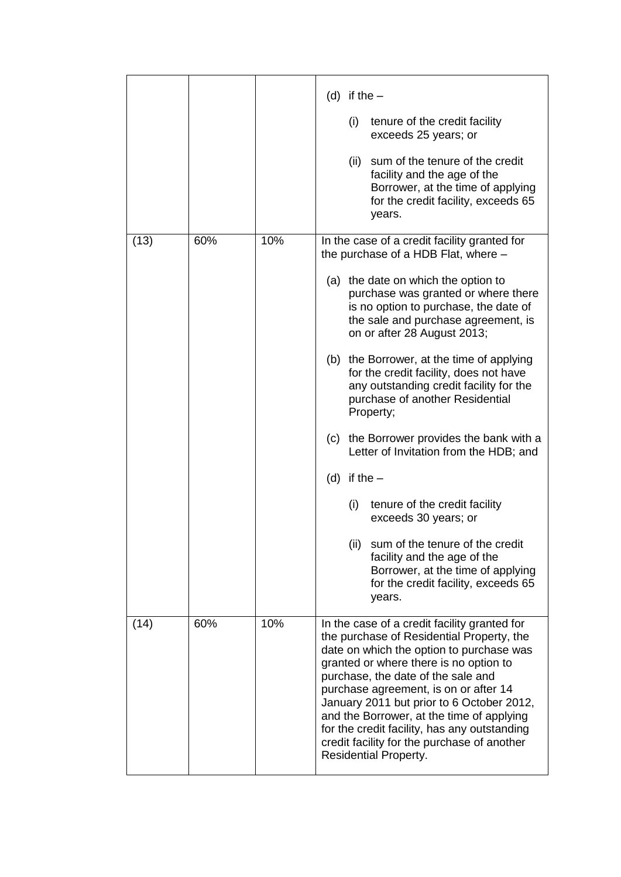|      |     |     | (d) if the $-$<br>(i)<br>tenure of the credit facility<br>exceeds 25 years; or<br>sum of the tenure of the credit<br>(ii)<br>facility and the age of the<br>Borrower, at the time of applying<br>for the credit facility, exceeds 65<br>years.                                                                                                                                                                                                                                                                                                                                                                                                                                                                                                                                                              |
|------|-----|-----|-------------------------------------------------------------------------------------------------------------------------------------------------------------------------------------------------------------------------------------------------------------------------------------------------------------------------------------------------------------------------------------------------------------------------------------------------------------------------------------------------------------------------------------------------------------------------------------------------------------------------------------------------------------------------------------------------------------------------------------------------------------------------------------------------------------|
| (13) | 60% | 10% | In the case of a credit facility granted for<br>the purchase of a HDB Flat, where -<br>(a) the date on which the option to<br>purchase was granted or where there<br>is no option to purchase, the date of<br>the sale and purchase agreement, is<br>on or after 28 August 2013;<br>(b) the Borrower, at the time of applying<br>for the credit facility, does not have<br>any outstanding credit facility for the<br>purchase of another Residential<br>Property;<br>(c) the Borrower provides the bank with a<br>Letter of Invitation from the HDB; and<br>(d) if the $-$<br>(i)<br>tenure of the credit facility<br>exceeds 30 years; or<br>(ii)<br>sum of the tenure of the credit<br>facility and the age of the<br>Borrower, at the time of applying<br>for the credit facility, exceeds 65<br>years. |
| (14) | 60% | 10% | In the case of a credit facility granted for<br>the purchase of Residential Property, the<br>date on which the option to purchase was<br>granted or where there is no option to<br>purchase, the date of the sale and<br>purchase agreement, is on or after 14<br>January 2011 but prior to 6 October 2012,<br>and the Borrower, at the time of applying<br>for the credit facility, has any outstanding<br>credit facility for the purchase of another<br><b>Residential Property.</b>                                                                                                                                                                                                                                                                                                                     |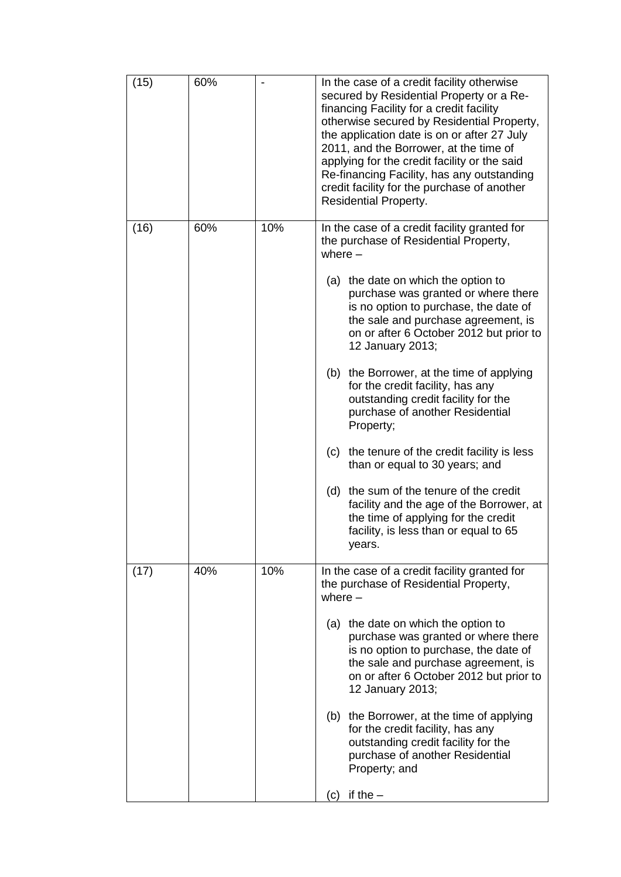| (15) | 60% |     | In the case of a credit facility otherwise<br>secured by Residential Property or a Re-<br>financing Facility for a credit facility<br>otherwise secured by Residential Property,<br>the application date is on or after 27 July<br>2011, and the Borrower, at the time of<br>applying for the credit facility or the said<br>Re-financing Facility, has any outstanding<br>credit facility for the purchase of another<br><b>Residential Property.</b>                                                                                                                                                                                                                                                                                                                            |
|------|-----|-----|-----------------------------------------------------------------------------------------------------------------------------------------------------------------------------------------------------------------------------------------------------------------------------------------------------------------------------------------------------------------------------------------------------------------------------------------------------------------------------------------------------------------------------------------------------------------------------------------------------------------------------------------------------------------------------------------------------------------------------------------------------------------------------------|
| (16) | 60% | 10% | In the case of a credit facility granted for<br>the purchase of Residential Property,<br>where $-$<br>(a) the date on which the option to<br>purchase was granted or where there<br>is no option to purchase, the date of<br>the sale and purchase agreement, is<br>on or after 6 October 2012 but prior to<br>12 January 2013;<br>(b) the Borrower, at the time of applying<br>for the credit facility, has any<br>outstanding credit facility for the<br>purchase of another Residential<br>Property;<br>the tenure of the credit facility is less<br>(c)<br>than or equal to 30 years; and<br>the sum of the tenure of the credit<br>(d)<br>facility and the age of the Borrower, at<br>the time of applying for the credit<br>facility, is less than or equal to 65<br>years. |
| (17) | 40% | 10% | In the case of a credit facility granted for<br>the purchase of Residential Property,<br>where $-$<br>(a) the date on which the option to<br>purchase was granted or where there<br>is no option to purchase, the date of<br>the sale and purchase agreement, is<br>on or after 6 October 2012 but prior to<br>12 January 2013;<br>(b) the Borrower, at the time of applying<br>for the credit facility, has any<br>outstanding credit facility for the<br>purchase of another Residential<br>Property; and<br>if the $-$<br>(C)                                                                                                                                                                                                                                                  |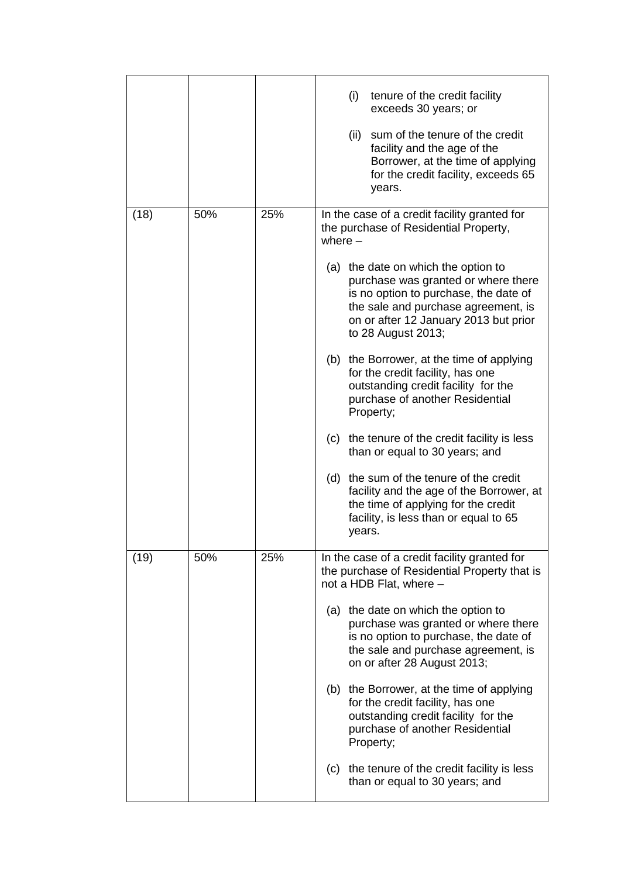|      |     |     | (i)<br>tenure of the credit facility<br>exceeds 30 years; or<br>(ii) sum of the tenure of the credit<br>facility and the age of the<br>Borrower, at the time of applying<br>for the credit facility, exceeds 65<br>years. |
|------|-----|-----|---------------------------------------------------------------------------------------------------------------------------------------------------------------------------------------------------------------------------|
| (18) | 50% | 25% | In the case of a credit facility granted for<br>the purchase of Residential Property,<br>where $-$<br>(a) the date on which the option to<br>purchase was granted or where there                                          |
|      |     |     | is no option to purchase, the date of<br>the sale and purchase agreement, is<br>on or after 12 January 2013 but prior<br>to 28 August 2013;                                                                               |
|      |     |     | (b) the Borrower, at the time of applying<br>for the credit facility, has one<br>outstanding credit facility for the<br>purchase of another Residential<br>Property;                                                      |
|      |     |     | (c) the tenure of the credit facility is less<br>than or equal to 30 years; and                                                                                                                                           |
|      |     |     | (d) the sum of the tenure of the credit<br>facility and the age of the Borrower, at<br>the time of applying for the credit<br>facility, is less than or equal to 65<br>years.                                             |
| (19) | 50% | 25% | In the case of a credit facility granted for<br>the purchase of Residential Property that is<br>not a HDB Flat, where -                                                                                                   |
|      |     |     | (a) the date on which the option to<br>purchase was granted or where there<br>is no option to purchase, the date of<br>the sale and purchase agreement, is<br>on or after 28 August 2013;                                 |
|      |     |     | (b) the Borrower, at the time of applying<br>for the credit facility, has one<br>outstanding credit facility for the<br>purchase of another Residential<br>Property;                                                      |
|      |     |     | (c) the tenure of the credit facility is less<br>than or equal to 30 years; and                                                                                                                                           |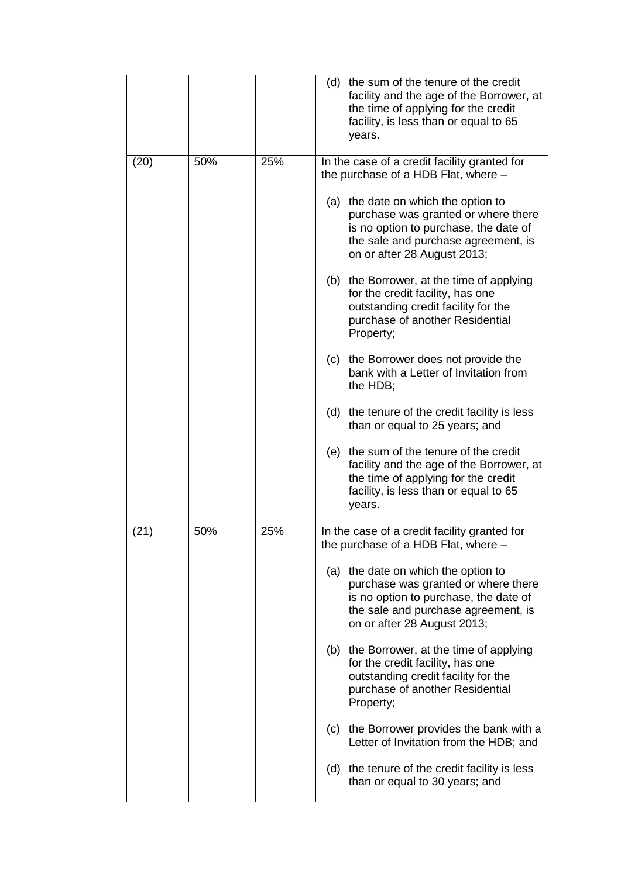|      |     |     | (d) the sum of the tenure of the credit<br>facility and the age of the Borrower, at<br>the time of applying for the credit<br>facility, is less than or equal to 65<br>years.             |
|------|-----|-----|-------------------------------------------------------------------------------------------------------------------------------------------------------------------------------------------|
| (20) | 50% | 25% | In the case of a credit facility granted for<br>the purchase of a HDB Flat, where -                                                                                                       |
|      |     |     | (a) the date on which the option to<br>purchase was granted or where there<br>is no option to purchase, the date of<br>the sale and purchase agreement, is<br>on or after 28 August 2013; |
|      |     |     | (b) the Borrower, at the time of applying<br>for the credit facility, has one<br>outstanding credit facility for the<br>purchase of another Residential<br>Property;                      |
|      |     |     | (c) the Borrower does not provide the<br>bank with a Letter of Invitation from<br>the HDB;                                                                                                |
|      |     |     | (d) the tenure of the credit facility is less<br>than or equal to 25 years; and                                                                                                           |
|      |     |     | (e) the sum of the tenure of the credit<br>facility and the age of the Borrower, at<br>the time of applying for the credit<br>facility, is less than or equal to 65<br>years.             |
| (21) | 50% | 25% | In the case of a credit facility granted for<br>the purchase of a HDB Flat, where -                                                                                                       |
|      |     |     | (a) the date on which the option to<br>purchase was granted or where there<br>is no option to purchase, the date of<br>the sale and purchase agreement, is<br>on or after 28 August 2013; |
|      |     |     | the Borrower, at the time of applying<br>(b)<br>for the credit facility, has one<br>outstanding credit facility for the<br>purchase of another Residential<br>Property;                   |
|      |     |     | (c) the Borrower provides the bank with a<br>Letter of Invitation from the HDB; and                                                                                                       |
|      |     |     | the tenure of the credit facility is less<br>(d)<br>than or equal to 30 years; and                                                                                                        |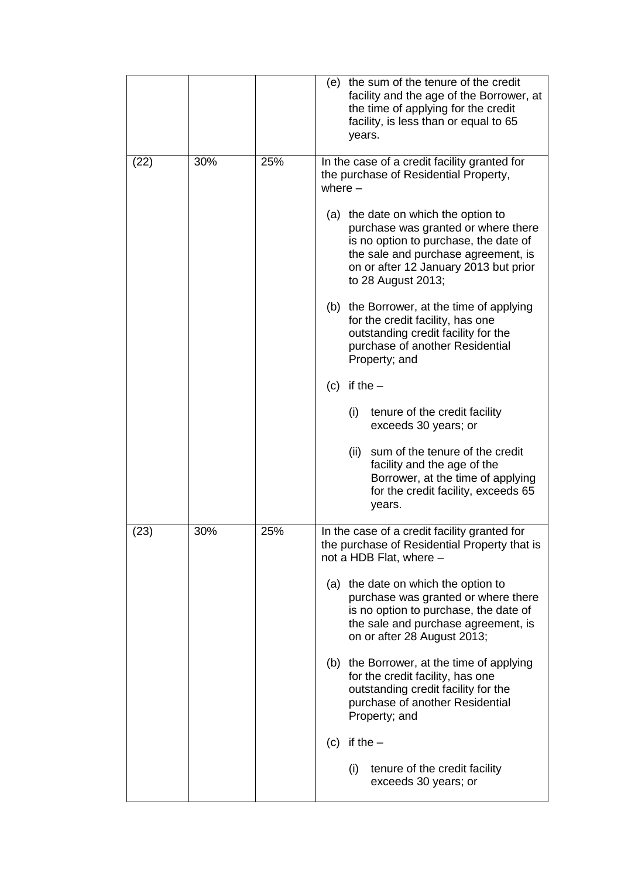|      |     |     | (e) the sum of the tenure of the credit<br>facility and the age of the Borrower, at<br>the time of applying for the credit<br>facility, is less than or equal to 65<br>years.                                             |
|------|-----|-----|---------------------------------------------------------------------------------------------------------------------------------------------------------------------------------------------------------------------------|
| (22) | 30% | 25% | In the case of a credit facility granted for<br>the purchase of Residential Property,<br>where $-$                                                                                                                        |
|      |     |     | (a) the date on which the option to<br>purchase was granted or where there<br>is no option to purchase, the date of<br>the sale and purchase agreement, is<br>on or after 12 January 2013 but prior<br>to 28 August 2013; |
|      |     |     | (b) the Borrower, at the time of applying<br>for the credit facility, has one<br>outstanding credit facility for the<br>purchase of another Residential<br>Property; and                                                  |
|      |     |     | if the $-$<br>(c)                                                                                                                                                                                                         |
|      |     |     | (i)<br>tenure of the credit facility<br>exceeds 30 years; or                                                                                                                                                              |
|      |     |     | (ii)<br>sum of the tenure of the credit<br>facility and the age of the<br>Borrower, at the time of applying<br>for the credit facility, exceeds 65<br>years.                                                              |
| (23) | 30% | 25% | In the case of a credit facility granted for<br>the purchase of Residential Property that is<br>not a HDB Flat, where -                                                                                                   |
|      |     |     | (a) the date on which the option to<br>purchase was granted or where there<br>is no option to purchase, the date of<br>the sale and purchase agreement, is<br>on or after 28 August 2013;                                 |
|      |     |     | the Borrower, at the time of applying<br>(b)<br>for the credit facility, has one<br>outstanding credit facility for the<br>purchase of another Residential<br>Property; and                                               |
|      |     |     | if the $-$<br>(c)                                                                                                                                                                                                         |
|      |     |     | (i)<br>tenure of the credit facility<br>exceeds 30 years; or                                                                                                                                                              |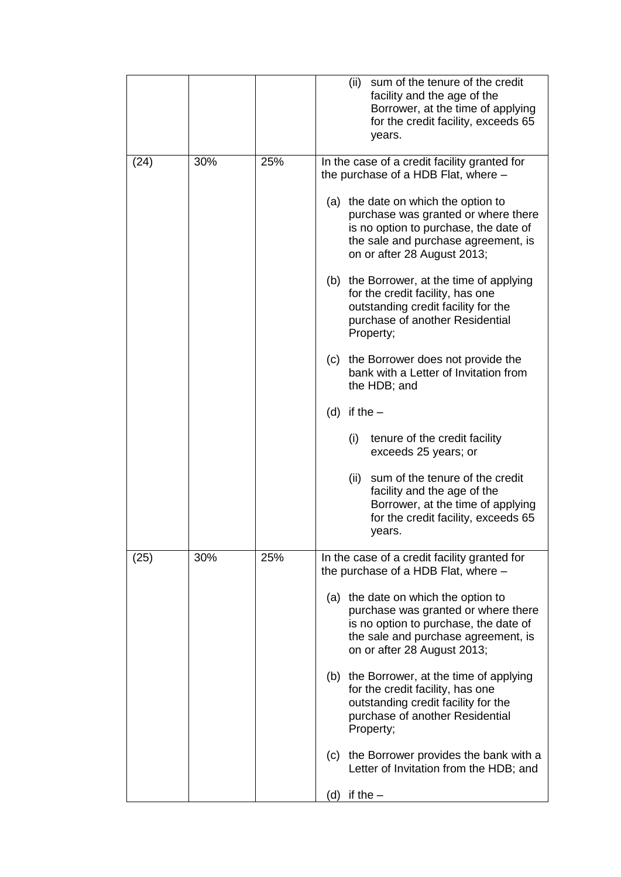|      |     |     | (ii)<br>sum of the tenure of the credit<br>facility and the age of the<br>Borrower, at the time of applying<br>for the credit facility, exceeds 65<br>years.                              |
|------|-----|-----|-------------------------------------------------------------------------------------------------------------------------------------------------------------------------------------------|
| (24) | 30% | 25% | In the case of a credit facility granted for<br>the purchase of a HDB Flat, where -                                                                                                       |
|      |     |     | (a) the date on which the option to<br>purchase was granted or where there<br>is no option to purchase, the date of<br>the sale and purchase agreement, is<br>on or after 28 August 2013; |
|      |     |     | (b) the Borrower, at the time of applying<br>for the credit facility, has one<br>outstanding credit facility for the<br>purchase of another Residential<br>Property;                      |
|      |     |     | the Borrower does not provide the<br>(c)<br>bank with a Letter of Invitation from<br>the HDB; and                                                                                         |
|      |     |     | (d) if the $-$                                                                                                                                                                            |
|      |     |     | (i)<br>tenure of the credit facility<br>exceeds 25 years; or                                                                                                                              |
|      |     |     | (ii)<br>sum of the tenure of the credit<br>facility and the age of the<br>Borrower, at the time of applying<br>for the credit facility, exceeds 65<br>years.                              |
| (25) | 30% | 25% | In the case of a credit facility granted for<br>the purchase of a HDB Flat, where -                                                                                                       |
|      |     |     | (a) the date on which the option to<br>purchase was granted or where there<br>is no option to purchase, the date of<br>the sale and purchase agreement, is<br>on or after 28 August 2013; |
|      |     |     | (b) the Borrower, at the time of applying<br>for the credit facility, has one<br>outstanding credit facility for the<br>purchase of another Residential<br>Property;                      |
|      |     |     | (c) the Borrower provides the bank with a<br>Letter of Invitation from the HDB; and                                                                                                       |
|      |     |     | (d) if the $-$                                                                                                                                                                            |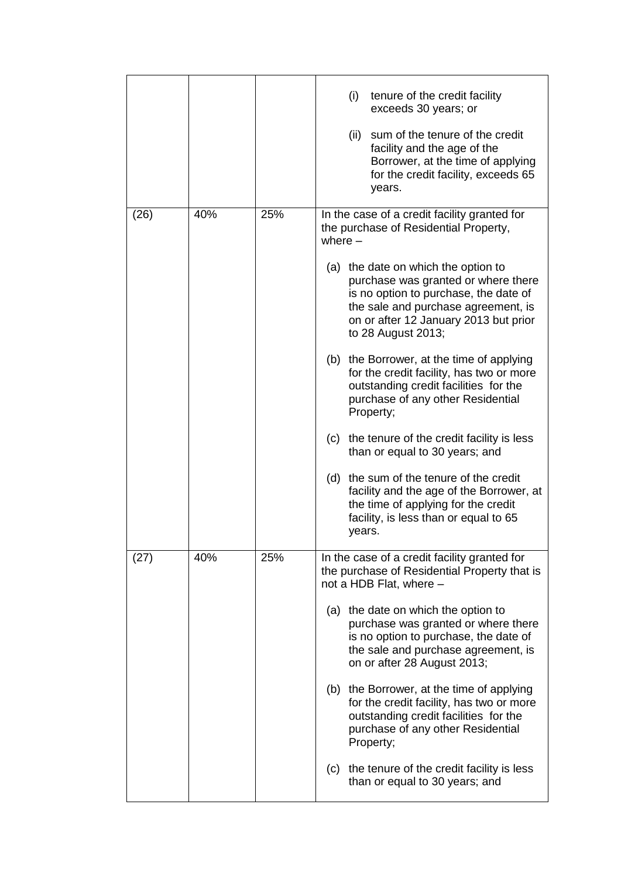|      |     |     | (i)<br>tenure of the credit facility<br>exceeds 30 years; or<br>(ii) sum of the tenure of the credit<br>facility and the age of the<br>Borrower, at the time of applying<br>for the credit facility, exceeds 65<br>years. |
|------|-----|-----|---------------------------------------------------------------------------------------------------------------------------------------------------------------------------------------------------------------------------|
| (26) | 40% | 25% | In the case of a credit facility granted for<br>the purchase of Residential Property,<br>where $-$<br>(a) the date on which the option to                                                                                 |
|      |     |     | purchase was granted or where there<br>is no option to purchase, the date of<br>the sale and purchase agreement, is<br>on or after 12 January 2013 but prior<br>to 28 August 2013;                                        |
|      |     |     | (b) the Borrower, at the time of applying<br>for the credit facility, has two or more<br>outstanding credit facilities for the<br>purchase of any other Residential<br>Property;                                          |
|      |     |     | (c) the tenure of the credit facility is less<br>than or equal to 30 years; and                                                                                                                                           |
|      |     |     | (d) the sum of the tenure of the credit<br>facility and the age of the Borrower, at<br>the time of applying for the credit<br>facility, is less than or equal to 65<br>years.                                             |
| (27) | 40% | 25% | In the case of a credit facility granted for<br>the purchase of Residential Property that is<br>not a HDB Flat, where -                                                                                                   |
|      |     |     | (a) the date on which the option to<br>purchase was granted or where there<br>is no option to purchase, the date of<br>the sale and purchase agreement, is<br>on or after 28 August 2013;                                 |
|      |     |     | (b) the Borrower, at the time of applying<br>for the credit facility, has two or more<br>outstanding credit facilities for the<br>purchase of any other Residential<br>Property;                                          |
|      |     |     | (c) the tenure of the credit facility is less<br>than or equal to 30 years; and                                                                                                                                           |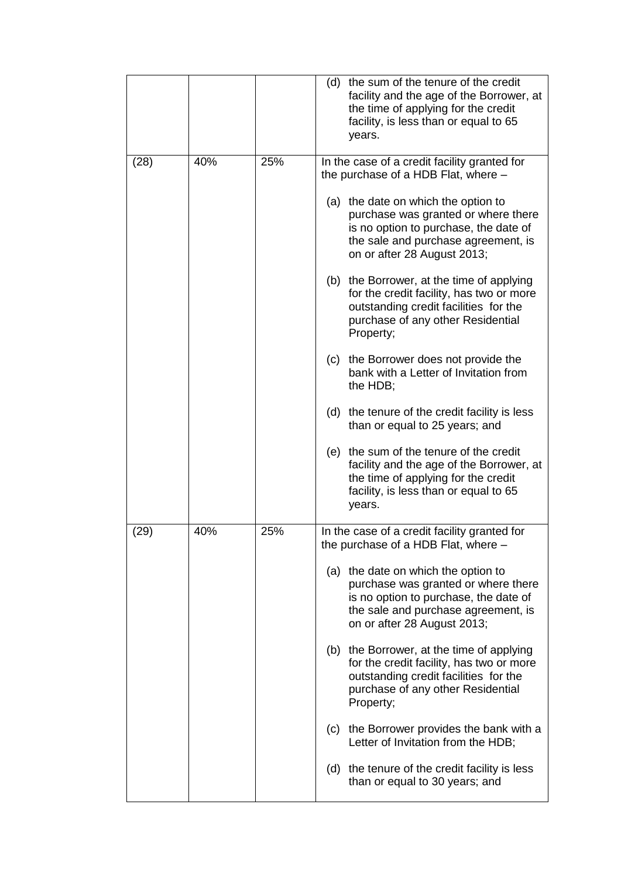|      |     |     | (d) the sum of the tenure of the credit<br>facility and the age of the Borrower, at<br>the time of applying for the credit<br>facility, is less than or equal to 65<br>years.             |
|------|-----|-----|-------------------------------------------------------------------------------------------------------------------------------------------------------------------------------------------|
| (28) | 40% | 25% | In the case of a credit facility granted for<br>the purchase of a HDB Flat, where -                                                                                                       |
|      |     |     | (a) the date on which the option to<br>purchase was granted or where there<br>is no option to purchase, the date of<br>the sale and purchase agreement, is<br>on or after 28 August 2013; |
|      |     |     | (b) the Borrower, at the time of applying<br>for the credit facility, has two or more<br>outstanding credit facilities for the<br>purchase of any other Residential<br>Property;          |
|      |     |     | (c) the Borrower does not provide the<br>bank with a Letter of Invitation from<br>the HDB;                                                                                                |
|      |     |     | the tenure of the credit facility is less<br>(d)<br>than or equal to 25 years; and                                                                                                        |
|      |     |     | (e) the sum of the tenure of the credit<br>facility and the age of the Borrower, at<br>the time of applying for the credit<br>facility, is less than or equal to 65<br>years.             |
| (29) | 40% | 25% | In the case of a credit facility granted for<br>the purchase of a HDB Flat, where -                                                                                                       |
|      |     |     | (a) the date on which the option to<br>purchase was granted or where there<br>is no option to purchase, the date of<br>the sale and purchase agreement, is<br>on or after 28 August 2013; |
|      |     |     | the Borrower, at the time of applying<br>(b)<br>for the credit facility, has two or more<br>outstanding credit facilities for the<br>purchase of any other Residential<br>Property;       |
|      |     |     | (c) the Borrower provides the bank with a<br>Letter of Invitation from the HDB;                                                                                                           |
|      |     |     | the tenure of the credit facility is less<br>(d)<br>than or equal to 30 years; and                                                                                                        |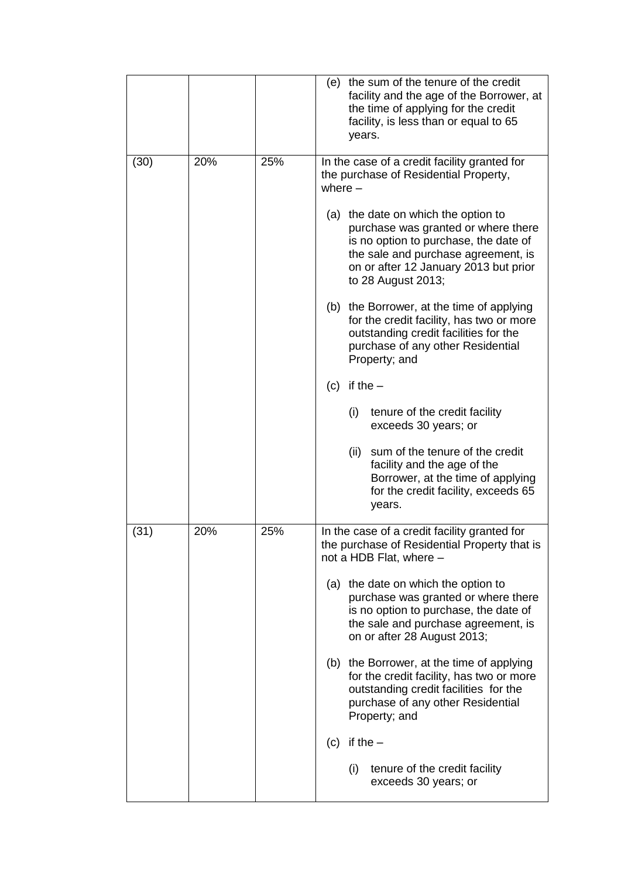|      |     |     | (e) the sum of the tenure of the credit<br>facility and the age of the Borrower, at<br>the time of applying for the credit<br>facility, is less than or equal to 65<br>years.                                             |
|------|-----|-----|---------------------------------------------------------------------------------------------------------------------------------------------------------------------------------------------------------------------------|
| (30) | 20% | 25% | In the case of a credit facility granted for<br>the purchase of Residential Property,<br>where $-$                                                                                                                        |
|      |     |     | (a) the date on which the option to<br>purchase was granted or where there<br>is no option to purchase, the date of<br>the sale and purchase agreement, is<br>on or after 12 January 2013 but prior<br>to 28 August 2013; |
|      |     |     | the Borrower, at the time of applying<br>(b)<br>for the credit facility, has two or more<br>outstanding credit facilities for the<br>purchase of any other Residential<br>Property; and                                   |
|      |     |     | if the $-$<br>(c)                                                                                                                                                                                                         |
|      |     |     | (i)<br>tenure of the credit facility<br>exceeds 30 years; or                                                                                                                                                              |
|      |     |     | (ii)<br>sum of the tenure of the credit<br>facility and the age of the<br>Borrower, at the time of applying<br>for the credit facility, exceeds 65<br>years.                                                              |
| (31) | 20% | 25% | In the case of a credit facility granted for<br>the purchase of Residential Property that is<br>not a HDB Flat, where -                                                                                                   |
|      |     |     | (a) the date on which the option to<br>purchase was granted or where there<br>is no option to purchase, the date of<br>the sale and purchase agreement, is<br>on or after 28 August 2013;                                 |
|      |     |     | the Borrower, at the time of applying<br>(b)<br>for the credit facility, has two or more<br>outstanding credit facilities for the<br>purchase of any other Residential<br>Property; and                                   |
|      |     |     | if the $-$<br>(c)                                                                                                                                                                                                         |
|      |     |     | (i)<br>tenure of the credit facility<br>exceeds 30 years; or                                                                                                                                                              |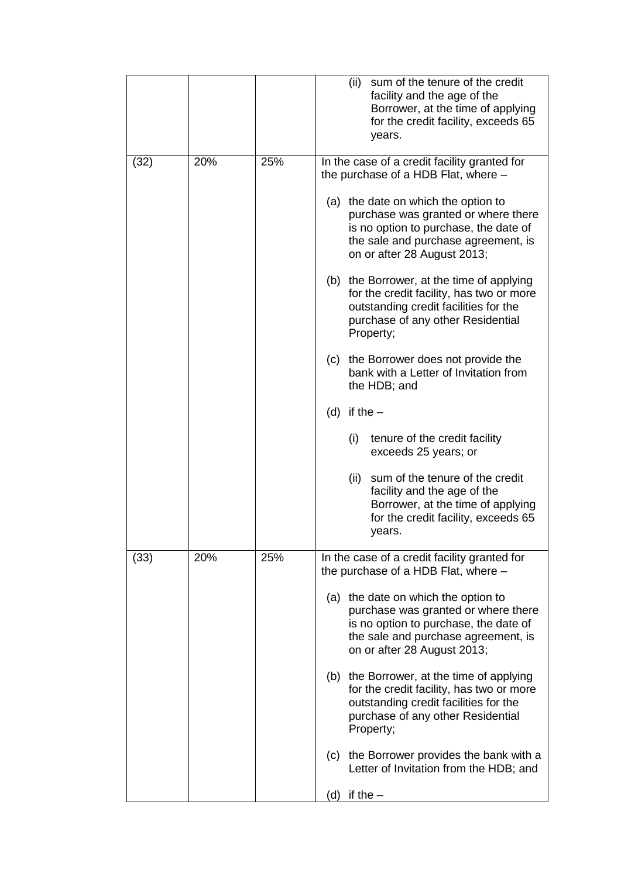|      |     |     | (ii)<br>sum of the tenure of the credit<br>facility and the age of the<br>Borrower, at the time of applying<br>for the credit facility, exceeds 65<br>years.                              |
|------|-----|-----|-------------------------------------------------------------------------------------------------------------------------------------------------------------------------------------------|
| (32) | 20% | 25% | In the case of a credit facility granted for<br>the purchase of a HDB Flat, where -                                                                                                       |
|      |     |     | (a) the date on which the option to<br>purchase was granted or where there<br>is no option to purchase, the date of<br>the sale and purchase agreement, is<br>on or after 28 August 2013; |
|      |     |     | (b) the Borrower, at the time of applying<br>for the credit facility, has two or more<br>outstanding credit facilities for the<br>purchase of any other Residential<br>Property;          |
|      |     |     | the Borrower does not provide the<br>(c)<br>bank with a Letter of Invitation from<br>the HDB; and                                                                                         |
|      |     |     | (d) if the $-$                                                                                                                                                                            |
|      |     |     | (i)<br>tenure of the credit facility<br>exceeds 25 years; or                                                                                                                              |
|      |     |     | (ii)<br>sum of the tenure of the credit<br>facility and the age of the<br>Borrower, at the time of applying<br>for the credit facility, exceeds 65<br>years.                              |
| (33) | 20% | 25% | In the case of a credit facility granted for<br>the purchase of a HDB Flat, where -                                                                                                       |
|      |     |     | (a) the date on which the option to<br>purchase was granted or where there<br>is no option to purchase, the date of<br>the sale and purchase agreement, is<br>on or after 28 August 2013; |
|      |     |     | (b) the Borrower, at the time of applying<br>for the credit facility, has two or more<br>outstanding credit facilities for the<br>purchase of any other Residential<br>Property;          |
|      |     |     | (c) the Borrower provides the bank with a<br>Letter of Invitation from the HDB; and                                                                                                       |
|      |     |     | (d) if the $-$                                                                                                                                                                            |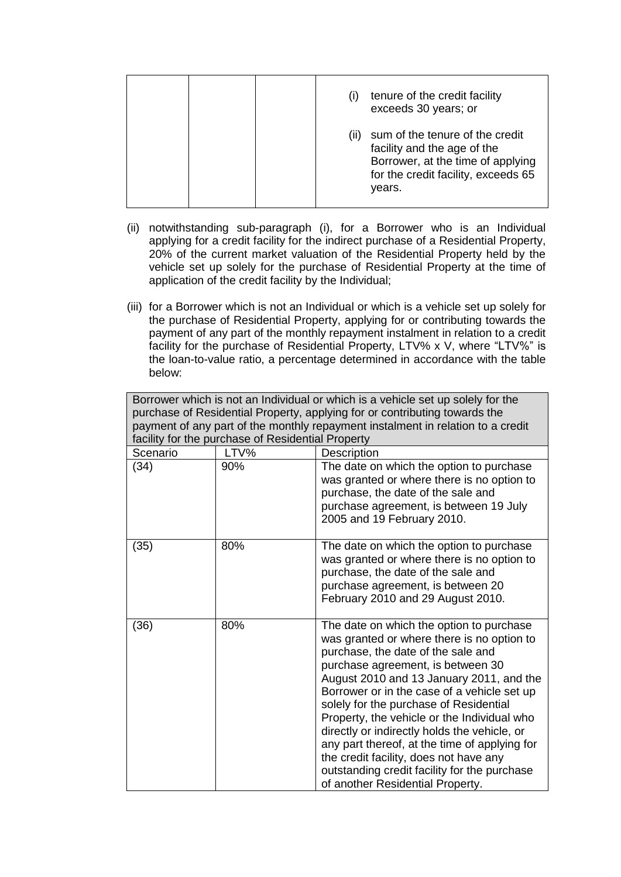|  | tenure of the credit facility<br>exceeds 30 years; or                                                                                                        |
|--|--------------------------------------------------------------------------------------------------------------------------------------------------------------|
|  | sum of the tenure of the credit<br>(11)<br>facility and the age of the<br>Borrower, at the time of applying<br>for the credit facility, exceeds 65<br>years. |

- (ii) notwithstanding sub-paragraph (i), for a Borrower who is an Individual applying for a credit facility for the indirect purchase of a Residential Property, 20% of the current market valuation of the Residential Property held by the vehicle set up solely for the purchase of Residential Property at the time of application of the credit facility by the Individual;
- (iii) for a Borrower which is not an Individual or which is a vehicle set up solely for the purchase of Residential Property, applying for or contributing towards the payment of any part of the monthly repayment instalment in relation to a credit facility for the purchase of Residential Property, LTV% x V, where "LTV%" is the loan-to-value ratio, a percentage determined in accordance with the table below:

| Borrower which is not an Individual or which is a vehicle set up solely for the<br>purchase of Residential Property, applying for or contributing towards the<br>payment of any part of the monthly repayment instalment in relation to a credit<br>facility for the purchase of Residential Property |      |                                                                                                                                                                                                                                                                                                                                                                                                                                                                                                                                                                                      |  |
|-------------------------------------------------------------------------------------------------------------------------------------------------------------------------------------------------------------------------------------------------------------------------------------------------------|------|--------------------------------------------------------------------------------------------------------------------------------------------------------------------------------------------------------------------------------------------------------------------------------------------------------------------------------------------------------------------------------------------------------------------------------------------------------------------------------------------------------------------------------------------------------------------------------------|--|
| Scenario                                                                                                                                                                                                                                                                                              | LTV% | Description                                                                                                                                                                                                                                                                                                                                                                                                                                                                                                                                                                          |  |
| (34)                                                                                                                                                                                                                                                                                                  | 90%  | The date on which the option to purchase<br>was granted or where there is no option to<br>purchase, the date of the sale and<br>purchase agreement, is between 19 July<br>2005 and 19 February 2010.                                                                                                                                                                                                                                                                                                                                                                                 |  |
| (35)                                                                                                                                                                                                                                                                                                  | 80%  | The date on which the option to purchase<br>was granted or where there is no option to<br>purchase, the date of the sale and<br>purchase agreement, is between 20<br>February 2010 and 29 August 2010.                                                                                                                                                                                                                                                                                                                                                                               |  |
| (36)                                                                                                                                                                                                                                                                                                  | 80%  | The date on which the option to purchase<br>was granted or where there is no option to<br>purchase, the date of the sale and<br>purchase agreement, is between 30<br>August 2010 and 13 January 2011, and the<br>Borrower or in the case of a vehicle set up<br>solely for the purchase of Residential<br>Property, the vehicle or the Individual who<br>directly or indirectly holds the vehicle, or<br>any part thereof, at the time of applying for<br>the credit facility, does not have any<br>outstanding credit facility for the purchase<br>of another Residential Property. |  |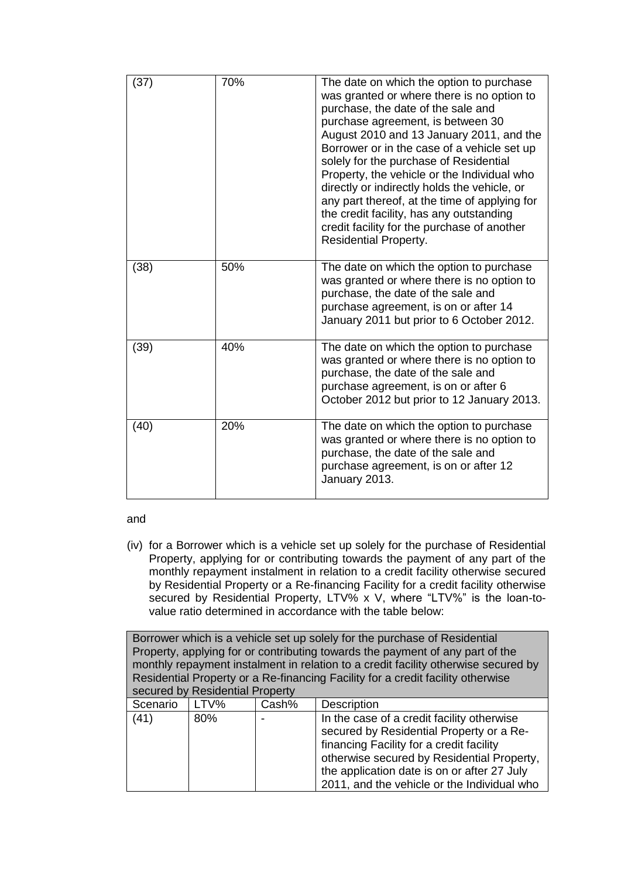| (37) | 70% | The date on which the option to purchase<br>was granted or where there is no option to<br>purchase, the date of the sale and<br>purchase agreement, is between 30<br>August 2010 and 13 January 2011, and the<br>Borrower or in the case of a vehicle set up<br>solely for the purchase of Residential<br>Property, the vehicle or the Individual who<br>directly or indirectly holds the vehicle, or<br>any part thereof, at the time of applying for<br>the credit facility, has any outstanding<br>credit facility for the purchase of another<br><b>Residential Property.</b> |
|------|-----|-----------------------------------------------------------------------------------------------------------------------------------------------------------------------------------------------------------------------------------------------------------------------------------------------------------------------------------------------------------------------------------------------------------------------------------------------------------------------------------------------------------------------------------------------------------------------------------|
| (38) | 50% | The date on which the option to purchase<br>was granted or where there is no option to<br>purchase, the date of the sale and<br>purchase agreement, is on or after 14<br>January 2011 but prior to 6 October 2012.                                                                                                                                                                                                                                                                                                                                                                |
| (39) | 40% | The date on which the option to purchase<br>was granted or where there is no option to<br>purchase, the date of the sale and<br>purchase agreement, is on or after 6<br>October 2012 but prior to 12 January 2013.                                                                                                                                                                                                                                                                                                                                                                |
| (40) | 20% | The date on which the option to purchase<br>was granted or where there is no option to<br>purchase, the date of the sale and<br>purchase agreement, is on or after 12<br>January 2013.                                                                                                                                                                                                                                                                                                                                                                                            |

and

(iv) for a Borrower which is a vehicle set up solely for the purchase of Residential Property, applying for or contributing towards the payment of any part of the monthly repayment instalment in relation to a credit facility otherwise secured by Residential Property or a Re-financing Facility for a credit facility otherwise secured by Residential Property, LTV% x V, where "LTV%" is the loan-tovalue ratio determined in accordance with the table below:

| Borrower which is a vehicle set up solely for the purchase of Residential     |                                                                                 |       |                                                                                    |  |
|-------------------------------------------------------------------------------|---------------------------------------------------------------------------------|-------|------------------------------------------------------------------------------------|--|
| Property, applying for or contributing towards the payment of any part of the |                                                                                 |       |                                                                                    |  |
|                                                                               |                                                                                 |       | monthly repayment instalment in relation to a credit facility otherwise secured by |  |
|                                                                               | Residential Property or a Re-financing Facility for a credit facility otherwise |       |                                                                                    |  |
|                                                                               | secured by Residential Property                                                 |       |                                                                                    |  |
| Scenario                                                                      | LTV%                                                                            | Cash% | <b>Description</b>                                                                 |  |
| (41)                                                                          | 80%                                                                             |       | In the case of a credit facility otherwise                                         |  |
|                                                                               |                                                                                 |       | secured by Residential Property or a Re-                                           |  |
|                                                                               |                                                                                 |       | financing Facility for a credit facility                                           |  |
|                                                                               |                                                                                 |       | otherwise secured by Residential Property,                                         |  |
|                                                                               |                                                                                 |       | the application date is on or after 27 July                                        |  |
|                                                                               |                                                                                 |       | 2011, and the vehicle or the Individual who                                        |  |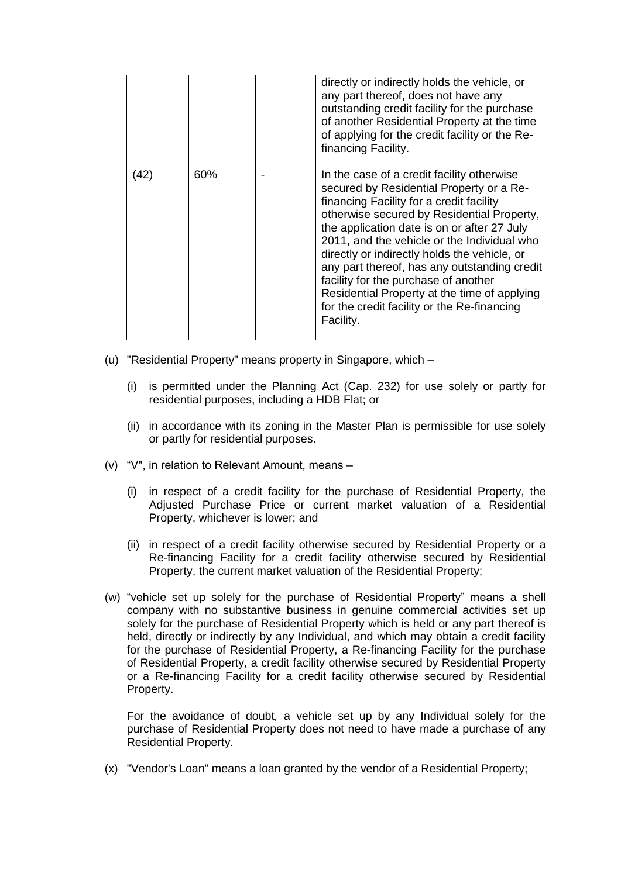|      |     | directly or indirectly holds the vehicle, or<br>any part thereof, does not have any<br>outstanding credit facility for the purchase<br>of another Residential Property at the time<br>of applying for the credit facility or the Re-<br>financing Facility.                                                                                                                                                                                                                                                                        |
|------|-----|------------------------------------------------------------------------------------------------------------------------------------------------------------------------------------------------------------------------------------------------------------------------------------------------------------------------------------------------------------------------------------------------------------------------------------------------------------------------------------------------------------------------------------|
| (42) | 60% | In the case of a credit facility otherwise<br>secured by Residential Property or a Re-<br>financing Facility for a credit facility<br>otherwise secured by Residential Property,<br>the application date is on or after 27 July<br>2011, and the vehicle or the Individual who<br>directly or indirectly holds the vehicle, or<br>any part thereof, has any outstanding credit<br>facility for the purchase of another<br>Residential Property at the time of applying<br>for the credit facility or the Re-financing<br>Facility. |

- (u) "Residential Property" means property in Singapore, which
	- (i) is permitted under the Planning Act (Cap. 232) for use solely or partly for residential purposes, including a HDB Flat; or
	- (ii) in accordance with its zoning in the Master Plan is permissible for use solely or partly for residential purposes.
- (v) "V", in relation to Relevant Amount, means
	- (i) in respect of a credit facility for the purchase of Residential Property, the Adjusted Purchase Price or current market valuation of a Residential Property, whichever is lower; and
	- (ii) in respect of a credit facility otherwise secured by Residential Property or a Re-financing Facility for a credit facility otherwise secured by Residential Property, the current market valuation of the Residential Property;
- (w) "vehicle set up solely for the purchase of Residential Property" means a shell company with no substantive business in genuine commercial activities set up solely for the purchase of Residential Property which is held or any part thereof is held, directly or indirectly by any Individual, and which may obtain a credit facility for the purchase of Residential Property, a Re-financing Facility for the purchase of Residential Property, a credit facility otherwise secured by Residential Property or a Re-financing Facility for a credit facility otherwise secured by Residential Property.

For the avoidance of doubt*,* a vehicle set up by any Individual solely for the purchase of Residential Property does not need to have made a purchase of any Residential Property.

(x) "Vendor's Loan" means a loan granted by the vendor of a Residential Property;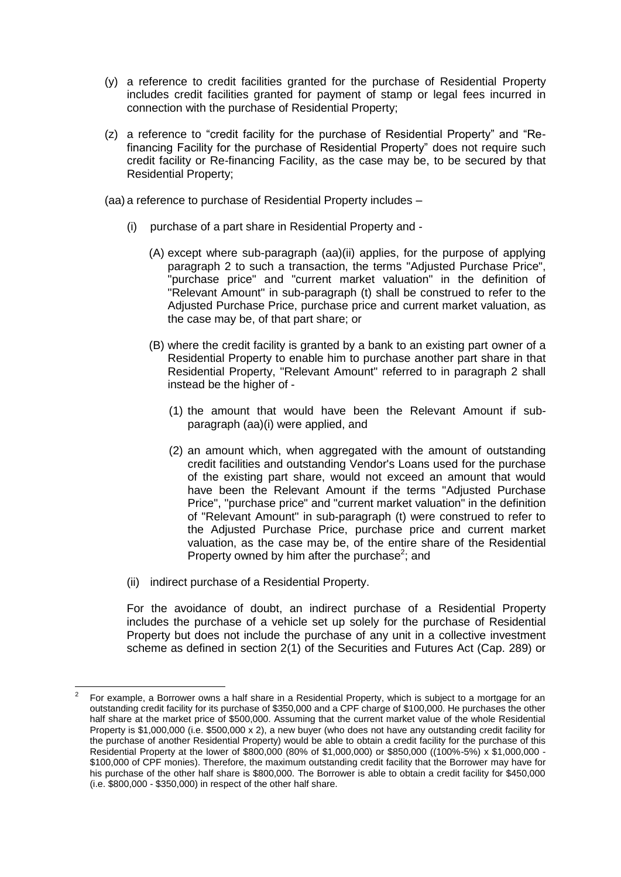- (y) a reference to credit facilities granted for the purchase of Residential Property includes credit facilities granted for payment of stamp or legal fees incurred in connection with the purchase of Residential Property;
- (z) a reference to "credit facility for the purchase of Residential Property" and "Refinancing Facility for the purchase of Residential Property" does not require such credit facility or Re-financing Facility, as the case may be, to be secured by that Residential Property;

(aa) a reference to purchase of Residential Property includes –

- (i) purchase of a part share in Residential Property and
	- (A) except where sub-paragraph (aa)(ii) applies, for the purpose of applying paragraph 2 to such a transaction, the terms "Adjusted Purchase Price", "purchase price" and "current market valuation" in the definition of "Relevant Amount" in sub-paragraph (t) shall be construed to refer to the Adjusted Purchase Price, purchase price and current market valuation, as the case may be, of that part share; or
	- (B) where the credit facility is granted by a bank to an existing part owner of a Residential Property to enable him to purchase another part share in that Residential Property, "Relevant Amount" referred to in paragraph 2 shall instead be the higher of -
		- (1) the amount that would have been the Relevant Amount if subparagraph (aa)(i) were applied, and
		- (2) an amount which, when aggregated with the amount of outstanding credit facilities and outstanding Vendor's Loans used for the purchase of the existing part share, would not exceed an amount that would have been the Relevant Amount if the terms "Adjusted Purchase Price", "purchase price" and "current market valuation" in the definition of "Relevant Amount" in sub-paragraph (t) were construed to refer to the Adjusted Purchase Price, purchase price and current market valuation, as the case may be, of the entire share of the Residential Property owned by him after the purchase<sup>2</sup>; and
- (ii) indirect purchase of a Residential Property.

 $\overline{\phantom{a}}$ 

For the avoidance of doubt, an indirect purchase of a Residential Property includes the purchase of a vehicle set up solely for the purchase of Residential Property but does not include the purchase of any unit in a collective investment scheme as defined in section 2(1) of the Securities and Futures Act (Cap. 289) or

<sup>2</sup> For example, a Borrower owns a half share in a Residential Property, which is subject to a mortgage for an outstanding credit facility for its purchase of \$350,000 and a CPF charge of \$100,000. He purchases the other half share at the market price of \$500,000. Assuming that the current market value of the whole Residential Property is \$1,000,000 (i.e. \$500,000 x 2), a new buyer (who does not have any outstanding credit facility for the purchase of another Residential Property) would be able to obtain a credit facility for the purchase of this Residential Property at the lower of \$800,000 (80% of \$1,000,000) or \$850,000 ((100%-5%) x \$1,000,000 - \$100,000 of CPF monies). Therefore, the maximum outstanding credit facility that the Borrower may have for his purchase of the other half share is \$800,000. The Borrower is able to obtain a credit facility for \$450,000 (i.e. \$800,000 - \$350,000) in respect of the other half share.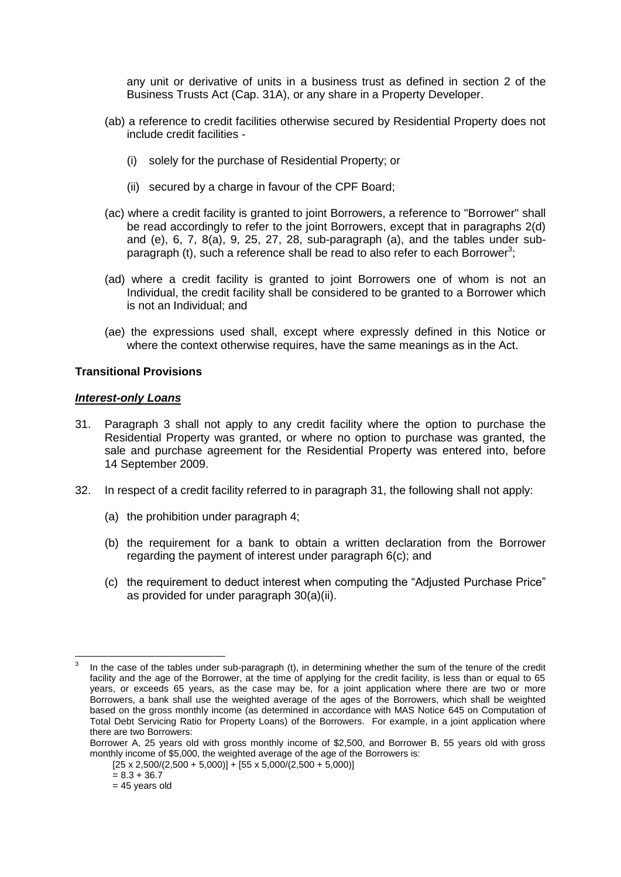any unit or derivative of units in a business trust as defined in section 2 of the Business Trusts Act (Cap. 31A), or any share in a Property Developer.

- (ab) a reference to credit facilities otherwise secured by Residential Property does not include credit facilities -
	- (i) solely for the purchase of Residential Property; or
	- (ii) secured by a charge in favour of the CPF Board;
- (ac) where a credit facility is granted to joint Borrowers, a reference to "Borrower" shall be read accordingly to refer to the joint Borrowers, except that in paragraphs 2(d) and (e), 6, 7, 8(a), 9, 25, 27, 28, sub-paragraph (a), and the tables under subparagraph (t), such a reference shall be read to also refer to each Borrower<sup>3</sup>;
- (ad) where a credit facility is granted to joint Borrowers one of whom is not an Individual, the credit facility shall be considered to be granted to a Borrower which is not an Individual; and
- (ae) the expressions used shall, except where expressly defined in this Notice or where the context otherwise requires, have the same meanings as in the Act.

## **Transitional Provisions**

### *Interest-only Loans*

- 31. Paragraph 3 shall not apply to any credit facility where the option to purchase the Residential Property was granted, or where no option to purchase was granted, the sale and purchase agreement for the Residential Property was entered into, before 14 September 2009.
- 32. In respect of a credit facility referred to in paragraph 31, the following shall not apply:
	- (a) the prohibition under paragraph 4;
	- (b) the requirement for a bank to obtain a written declaration from the Borrower regarding the payment of interest under paragraph 6(c); and
	- (c) the requirement to deduct interest when computing the "Adjusted Purchase Price" as provided for under paragraph 30(a)(ii).

 $\overline{a}$ 3 In the case of the tables under sub-paragraph (t), in determining whether the sum of the tenure of the credit facility and the age of the Borrower, at the time of applying for the credit facility, is less than or equal to 65 years, or exceeds 65 years, as the case may be, for a joint application where there are two or more Borrowers, a bank shall use the weighted average of the ages of the Borrowers, which shall be weighted based on the gross monthly income (as determined in accordance with MAS Notice 645 on Computation of Total Debt Servicing Ratio for Property Loans) of the Borrowers. For example, in a joint application where there are two Borrowers:

Borrower A, 25 years old with gross monthly income of \$2,500, and Borrower B, 55 years old with gross monthly income of \$5,000, the weighted average of the age of the Borrowers is:

 $[25 \times 2,500/(2,500 + 5,000)] + [55 \times 5,000/(2,500 + 5,000)]$ 

 $= 8.3 + 36.7$ 

 $= 45$  years old